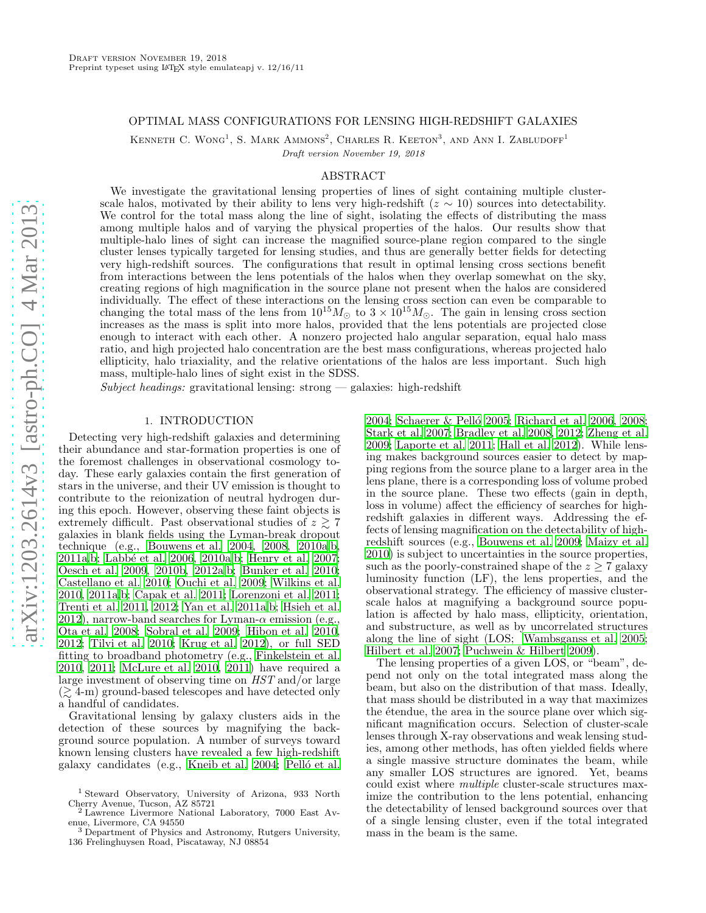## OPTIMAL MASS CONFIGURATIONS FOR LENSING HIGH-REDSHIFT GALAXIES

KENNETH C. WONG<sup>1</sup>, S. MARK AMMONS<sup>2</sup>, CHARLES R. KEETON<sup>3</sup>, AND ANN I. ZABLUDOFF<sup>1</sup> Draft version November 19, 2018

# ABSTRACT

We investigate the gravitational lensing properties of lines of sight containing multiple clusterscale halos, motivated by their ability to lens very high-redshift ( $z \sim 10$ ) sources into detectability. We control for the total mass along the line of sight, isolating the effects of distributing the mass among multiple halos and of varying the physical properties of the halos. Our results show that multiple-halo lines of sight can increase the magnified source-plane region compared to the single cluster lenses typically targeted for lensing studies, and thus are generally better fields for detecting very high-redshift sources. The configurations that result in optimal lensing cross sections benefit from interactions between the lens potentials of the halos when they overlap somewhat on the sky, creating regions of high magnification in the source plane not present when the halos are considered individually. The effect of these interactions on the lensing cross section can even be comparable to changing the total mass of the lens from  $10^{15}M_{\odot}$  to  $3 \times 10^{15}M_{\odot}$ . The gain in lensing cross section increases as the mass is split into more halos, provided that the lens potentials are projected close enough to interact with each other. A nonzero projected halo angular separation, equal halo mass ratio, and high projected halo concentration are the best mass configurations, whereas projected halo ellipticity, halo triaxiality, and the relative orientations of the halos are less important. Such high mass, multiple-halo lines of sight exist in the SDSS.

Subject headings: gravitational lensing: strong  $-$  galaxies: high-redshift

#### 1. INTRODUCTION

Detecting very high-redshift galaxies and determining their abundance and star-formation properties is one of the foremost challenges in observational cosmology today. These early galaxies contain the first generation of stars in the universe, and their UV emission is thought to contribute to the reionization of neutral hydrogen during this epoch. However, observing these faint objects is extremely difficult. Past observational studies of  $z \geq 7$ galaxies in blank fields using the Lyman-break dropout technique (e.g., [Bouwens et al. 2004](#page-22-0), [2008](#page-22-1), [2010a](#page-22-2)[,b](#page-22-3), [2011a](#page-22-4)[,b;](#page-22-5) [Labb´e et al. 2006,](#page-23-0) [2010a](#page-23-1)[,b](#page-23-2); [Henry et al. 2007;](#page-22-6) [Oesch et al. 2009](#page-23-3), [2010b,](#page-23-4) [2012a](#page-23-5)[,b](#page-23-6); [Bunker et al. 2010;](#page-22-7) [Castellano et al. 2010](#page-22-8); [Ouchi et al. 2009](#page-23-7); [Wilkins et al.](#page-23-8) [2010,](#page-23-8) [2011a](#page-23-9)[,b](#page-23-10); [Capak et al. 2011;](#page-22-9) [Lorenzoni et al. 2011;](#page-23-11) [Trenti et al. 2011,](#page-23-12) [2012;](#page-23-13) [Yan et al. 2011a](#page-23-14)[,b](#page-23-15); [Hsieh et al.](#page-22-10) [2012\)](#page-22-10), narrow-band searches for Lyman- $\alpha$  emission (e.g., [Ota et al. 2008;](#page-23-16) [Sobral et al. 2009](#page-23-17); [Hibon et al. 2010,](#page-22-11) [2012;](#page-22-12) [Tilvi et al. 2010;](#page-23-18) [Krug et al. 2012](#page-23-19)), or full SED fitting to broadband photometry (e.g., [Finkelstein et al.](#page-22-13) [2010,](#page-22-13) [2011](#page-22-14); [McLure et al. 2010](#page-23-20), [2011\)](#page-23-21) have required a large investment of observing time on HST and/or large  $(\geq 4-m)$  ground-based telescopes and have detected only a handful of candidates.

Gravitational lensing by galaxy clusters aids in the detection of these sources by magnifying the background source population. A number of surveys toward known lensing clusters have revealed a few high-redshift galaxy candidates (e.g., [Kneib et al. 2004;](#page-22-15) Pelló et al.

[2004;](#page-23-22) Schaerer & Pelló 2005; [Richard et al. 2006](#page-23-24), [2008](#page-23-25); [Stark et al. 2007;](#page-23-26) [Bradley et al. 2008](#page-22-16), [2012;](#page-22-17) [Zheng et al.](#page-23-27) [2009;](#page-23-27) [Laporte et al. 2011](#page-23-28); [Hall et al. 2012\)](#page-22-18). While lensing makes background sources easier to detect by mapping regions from the source plane to a larger area in the lens plane, there is a corresponding loss of volume probed in the source plane. These two effects (gain in depth, loss in volume) affect the efficiency of searches for highredshift galaxies in different ways. Addressing the effects of lensing magnification on the detectability of highredshift sources (e.g., [Bouwens et al. 2009](#page-22-19); [Maizy et al.](#page-23-29) [2010\)](#page-23-29) is subject to uncertainties in the source properties, such as the poorly-constrained shape of the  $z \geq 7$  galaxy luminosity function (LF), the lens properties, and the observational strategy. The efficiency of massive clusterscale halos at magnifying a background source population is affected by halo mass, ellipticity, orientation, and substructure, as well as by uncorrelated structures along the line of sight (LOS; [Wambsganss et al. 2005](#page-23-30); [Hilbert et al. 2007;](#page-22-20) [Puchwein & Hilbert 2009\)](#page-23-31).

The lensing properties of a given LOS, or "beam", depend not only on the total integrated mass along the beam, but also on the distribution of that mass. Ideally, that mass should be distributed in a way that maximizes the étendue, the area in the source plane over which significant magnification occurs. Selection of cluster-scale lenses through X-ray observations and weak lensing studies, among other methods, has often yielded fields where a single massive structure dominates the beam, while any smaller LOS structures are ignored. Yet, beams could exist where multiple cluster-scale structures maximize the contribution to the lens potential, enhancing the detectability of lensed background sources over that of a single lensing cluster, even if the total integrated mass in the beam is the same.

<sup>1</sup> Steward Observatory, University of Arizona, 933 North Cherry Avenue, Tucson, AZ 85721 <sup>2</sup> Lawrence Livermore National Laboratory, 7000 East Av-

enue, Livermore, CA 94550 <sup>3</sup> Department of Physics and Astronomy, Rutgers University,

<sup>136</sup> Frelinghuysen Road, Piscataway, NJ 08854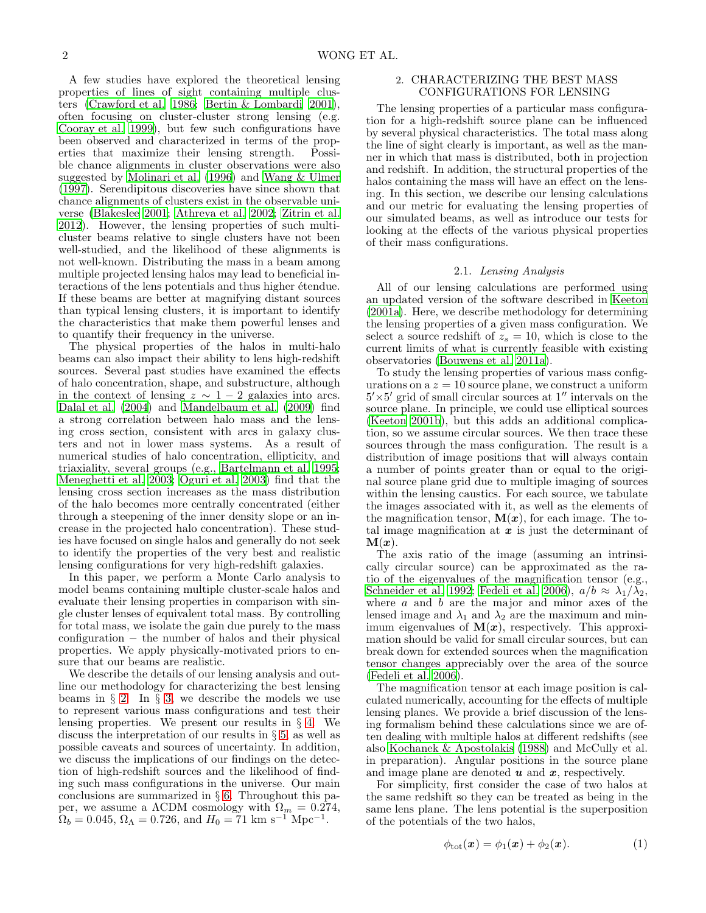A few studies have explored the theoretical lensing properties of lines of sight containing multiple clusters [\(Crawford et al. 1986](#page-22-21); [Bertin & Lombardi 2001\)](#page-22-22), often focusing on cluster-cluster strong lensing (e.g. [Cooray et al. 1999\)](#page-22-23), but few such configurations have been observed and characterized in terms of the properties that maximize their lensing strength. Possible chance alignments in cluster observations were also suggested by [Molinari et al. \(1996\)](#page-23-32) and [Wang & Ulmer](#page-23-33) [\(1997\)](#page-23-33). Serendipitous discoveries have since shown that chance alignments of clusters exist in the observable universe [\(Blakeslee 2001](#page-22-24); [Athreya et al. 2002;](#page-22-25) [Zitrin et al.](#page-23-34) [2012\)](#page-23-34). However, the lensing properties of such multicluster beams relative to single clusters have not been well-studied, and the likelihood of these alignments is not well-known. Distributing the mass in a beam among multiple projected lensing halos may lead to beneficial interactions of the lens potentials and thus higher étendue. If these beams are better at magnifying distant sources than typical lensing clusters, it is important to identify the characteristics that make them powerful lenses and to quantify their frequency in the universe.

The physical properties of the halos in multi-halo beams can also impact their ability to lens high-redshift sources. Several past studies have examined the effects of halo concentration, shape, and substructure, although in the context of lensing  $z \sim 1-2$  galaxies into arcs. [Dalal et al. \(2004](#page-22-26)) and [Mandelbaum et al. \(2009\)](#page-23-35) find a strong correlation between halo mass and the lensing cross section, consistent with arcs in galaxy clusters and not in lower mass systems. As a result of numerical studies of halo concentration, ellipticity, and triaxiality, several groups (e.g., [Bartelmann et al. 1995;](#page-22-27) [Meneghetti et al. 2003](#page-23-36); [Oguri et al. 2003\)](#page-23-37) find that the lensing cross section increases as the mass distribution of the halo becomes more centrally concentrated (either through a steepening of the inner density slope or an increase in the projected halo concentration). These studies have focused on single halos and generally do not seek to identify the properties of the very best and realistic lensing configurations for very high-redshift galaxies.

In this paper, we perform a Monte Carlo analysis to model beams containing multiple cluster-scale halos and evaluate their lensing properties in comparison with single cluster lenses of equivalent total mass. By controlling for total mass, we isolate the gain due purely to the mass configuration − the number of halos and their physical properties. We apply physically-motivated priors to ensure that our beams are realistic.

We describe the details of our lensing analysis and outline our methodology for characterizing the best lensing beams in  $\S$  [2.](#page-1-0) In  $\S$  [3,](#page-3-0) we describe the models we use to represent various mass configurations and test their lensing properties. We present our results in § [4.](#page-6-0) We discuss the interpretation of our results in § [5,](#page-13-0) as well as possible caveats and sources of uncertainty. In addition, we discuss the implications of our findings on the detection of high-redshift sources and the likelihood of finding such mass configurations in the universe. Our main conclusions are summarized in § [6.](#page-17-0) Throughout this paper, we assume a  $\Lambda$ CDM cosmology with  $\Omega_m = 0.274$ ,  $\Omega_b = 0.045, \Omega_\Lambda = 0.726, \text{ and } H_0 = 71 \text{ km s}^{-1} \text{Mpc}^{-1}.$ 

## <span id="page-1-0"></span>2. CHARACTERIZING THE BEST MASS CONFIGURATIONS FOR LENSING

The lensing properties of a particular mass configuration for a high-redshift source plane can be influenced by several physical characteristics. The total mass along the line of sight clearly is important, as well as the manner in which that mass is distributed, both in projection and redshift. In addition, the structural properties of the halos containing the mass will have an effect on the lensing. In this section, we describe our lensing calculations and our metric for evaluating the lensing properties of our simulated beams, as well as introduce our tests for looking at the effects of the various physical properties of their mass configurations.

## 2.1. Lensing Analysis

<span id="page-1-1"></span>All of our lensing calculations are performed using an updated version of the software described in [Keeton](#page-22-28) [\(2001a\)](#page-22-28). Here, we describe methodology for determining the lensing properties of a given mass configuration. We select a source redshift of  $z_s = 10$ , which is close to the current limits of what is currently feasible with existing observatories [\(Bouwens et al. 2011a\)](#page-22-4).

To study the lensing properties of various mass configurations on  $a \, z = 10$  source plane, we construct a uniform  $5' \times 5'$  grid of small circular sources at  $1''$  intervals on the source plane. In principle, we could use elliptical sources [\(Keeton 2001b](#page-22-29)), but this adds an additional complication, so we assume circular sources. We then trace these sources through the mass configuration. The result is a distribution of image positions that will always contain a number of points greater than or equal to the original source plane grid due to multiple imaging of sources within the lensing caustics. For each source, we tabulate the images associated with it, as well as the elements of the magnification tensor,  $\mathbf{M}(\boldsymbol{x})$ , for each image. The total image magnification at  $x$  is just the determinant of  $\mathbf{M}(\boldsymbol{x})$ .

The axis ratio of the image (assuming an intrinsically circular source) can be approximated as the ratio of the eigenvalues of the magnification tensor (e.g., [Schneider et al. 1992](#page-23-38); [Fedeli et al. 2006\)](#page-22-30),  $a/b \approx \lambda_1/\lambda_2$ , where  $a$  and  $b$  are the major and minor axes of the lensed image and  $\lambda_1$  and  $\lambda_2$  are the maximum and minimum eigenvalues of  $M(x)$ , respectively. This approximation should be valid for small circular sources, but can break down for extended sources when the magnification tensor changes appreciably over the area of the source [\(Fedeli et al. 2006\)](#page-22-30).

The magnification tensor at each image position is calculated numerically, accounting for the effects of multiple lensing planes. We provide a brief discussion of the lensing formalism behind these calculations since we are often dealing with multiple halos at different redshifts (see also [Kochanek & Apostolakis \(1988\)](#page-23-39) and McCully et al. in preparation). Angular positions in the source plane and image plane are denoted  $u$  and  $x$ , respectively.

For simplicity, first consider the case of two halos at the same redshift so they can be treated as being in the same lens plane. The lens potential is the superposition of the potentials of the two halos,

$$
\phi_{\text{tot}}(\boldsymbol{x}) = \phi_1(\boldsymbol{x}) + \phi_2(\boldsymbol{x}). \tag{1}
$$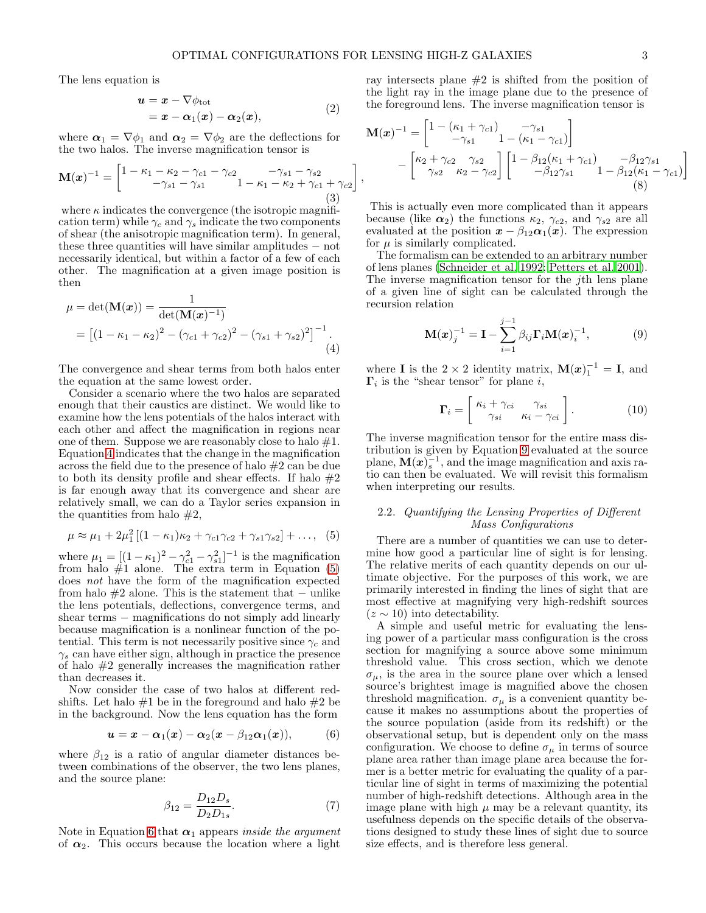The lens equation is

$$
\begin{aligned} \mathbf{u} &= \mathbf{x} - \nabla \phi_{\text{tot}} \\ &= \mathbf{x} - \alpha_1(\mathbf{x}) - \alpha_2(\mathbf{x}), \end{aligned} \tag{2}
$$

where  $\alpha_1 = \nabla \phi_1$  and  $\alpha_2 = \nabla \phi_2$  are the deflections for the two halos. The inverse magnification tensor is

$$
\mathbf{M}(\boldsymbol{x})^{-1} = \begin{bmatrix} 1 - \kappa_1 - \kappa_2 - \gamma_{c1} - \gamma_{c2} & -\gamma_{s1} - \gamma_{s2} \\ -\gamma_{s1} - \gamma_{s1} & 1 - \kappa_1 - \kappa_2 + \gamma_{c1} + \gamma_{c2} \end{bmatrix}
$$
\n(3)

where  $\kappa$  indicates the convergence (the isotropic magnification term) while  $\gamma_c$  and  $\gamma_s$  indicate the two components of shear (the anisotropic magnification term). In general, these three quantities will have similar amplitudes − not necessarily identical, but within a factor of a few of each other. The magnification at a given image position is then

<span id="page-2-0"></span>
$$
\mu = \det(\mathbf{M}(\boldsymbol{x})) = \frac{1}{\det(\mathbf{M}(\boldsymbol{x})^{-1})}
$$
  
= 
$$
\left[ (1 - \kappa_1 - \kappa_2)^2 - (\gamma_{c1} + \gamma_{c2})^2 - (\gamma_{s1} + \gamma_{s2})^2 \right]^{-1}.
$$
  
(4)

The convergence and shear terms from both halos enter the equation at the same lowest order.

Consider a scenario where the two halos are separated enough that their caustics are distinct. We would like to examine how the lens potentials of the halos interact with each other and affect the magnification in regions near one of them. Suppose we are reasonably close to halo  $#1$ . Equation [4](#page-2-0) indicates that the change in the magnification across the field due to the presence of halo #2 can be due to both its density profile and shear effects. If halo  $#2$ is far enough away that its convergence and shear are relatively small, we can do a Taylor series expansion in the quantities from halo  $#2$ ,

<span id="page-2-1"></span>
$$
\mu \approx \mu_1 + 2\mu_1^2 \left[ (1 - \kappa_1)\kappa_2 + \gamma_{c1}\gamma_{c2} + \gamma_{s1}\gamma_{s2} \right] + \dots, \quad (5)
$$

where  $\mu_1 = [(1 - \kappa_1)^2 - \gamma_{c1}^2 - \gamma_{s1}^2]^{-1}$  is the magnification from halo  $#1$  alone. The extra term in Equation  $(5)$ does not have the form of the magnification expected from halo  $#2$  alone. This is the statement that – unlike the lens potentials, deflections, convergence terms, and shear terms – magnifications do not simply add linearly because magnification is a nonlinear function of the potential. This term is not necessarily positive since  $\gamma_c$  and  $\gamma_s$  can have either sign, although in practice the presence of halo #2 generally increases the magnification rather than decreases it.

Now consider the case of two halos at different redshifts. Let halo  $#1$  be in the foreground and halo  $#2$  be in the background. Now the lens equation has the form

<span id="page-2-2"></span>
$$
\boldsymbol{u} = \boldsymbol{x} - \boldsymbol{\alpha}_1(\boldsymbol{x}) - \boldsymbol{\alpha}_2(\boldsymbol{x} - \beta_{12}\boldsymbol{\alpha}_1(\boldsymbol{x})), \qquad (6)
$$

where  $\beta_{12}$  is a ratio of angular diameter distances between combinations of the observer, the two lens planes, and the source plane:

$$
\beta_{12} = \frac{D_{12}D_s}{D_2 D_{1s}}.\tag{7}
$$

Note in Equation [6](#page-2-2) that  $\alpha_1$  appears inside the argument of  $\alpha_2$ . This occurs because the location where a light

ray intersects plane #2 is shifted from the position of the light ray in the image plane due to the presence of the foreground lens. The inverse magnification tensor is

$$
\mathbf{M}(\boldsymbol{x})^{-1} = \begin{bmatrix} 1 - (\kappa_1 + \gamma_{c1}) & -\gamma_{s1} \\ -\gamma_{s1} & 1 - (\kappa_1 - \gamma_{c1}) \end{bmatrix} \\ - \begin{bmatrix} \kappa_2 + \gamma_{c2} & \gamma_{s2} \\ \gamma_{s2} & \kappa_2 - \gamma_{c2} \end{bmatrix} \begin{bmatrix} 1 - \beta_{12}(\kappa_1 + \gamma_{c1}) & -\beta_{12}\gamma_{s1} \\ -\beta_{12}\gamma_{s1} & 1 - \beta_{12}(\kappa_1 - \gamma_{c1}) \end{bmatrix}
$$
\n(8)

This is actually even more complicated than it appears because (like  $\alpha_2$ ) the functions  $\kappa_2$ ,  $\gamma_{c2}$ , and  $\gamma_{s2}$  are all evaluated at the position  $\mathbf{x} - \beta_{12} \alpha_1(\mathbf{x})$ . The expression for  $\mu$  is similarly complicated.

The formalism can be extended to an arbitrary number of lens planes [\(Schneider et al. 1992;](#page-23-38) [Petters et al. 2001](#page-23-40)). The inverse magnification tensor for the jth lens plane of a given line of sight can be calculated through the recursion relation

<span id="page-2-3"></span>
$$
\mathbf{M}(\boldsymbol{x})_j^{-1} = \mathbf{I} - \sum_{i=1}^{j-1} \beta_{ij} \boldsymbol{\Gamma}_i \mathbf{M}(\boldsymbol{x})_i^{-1}, \tag{9}
$$

where **I** is the 2 × 2 identity matrix,  $\mathbf{M}(\boldsymbol{x})_1^{-1} = \mathbf{I}$ , and  $\Gamma_i$  is the "shear tensor" for plane *i*,

<span id="page-2-4"></span>
$$
\mathbf{\Gamma}_{i} = \begin{bmatrix} \kappa_{i} + \gamma_{ci} & \gamma_{si} \\ \gamma_{si} & \kappa_{i} - \gamma_{ci} \end{bmatrix} . \tag{10}
$$

The inverse magnification tensor for the entire mass distribution is given by Equation [9](#page-2-3) evaluated at the source plane,  $\mathbf{M}(\boldsymbol{x})_s^{-1}$ , and the image magnification and axis ratio can then be evaluated. We will revisit this formalism when interpreting our results.

# 2.2. Quantifying the Lensing Properties of Different Mass Configurations

There are a number of quantities we can use to determine how good a particular line of sight is for lensing. The relative merits of each quantity depends on our ultimate objective. For the purposes of this work, we are primarily interested in finding the lines of sight that are most effective at magnifying very high-redshift sources  $(z \sim 10)$  into detectability.

A simple and useful metric for evaluating the lensing power of a particular mass configuration is the cross section for magnifying a source above some minimum threshold value. This cross section, which we denote  $\sigma_{\mu}$ , is the area in the source plane over which a lensed source's brightest image is magnified above the chosen threshold magnification.  $\sigma_{\mu}$  is a convenient quantity because it makes no assumptions about the properties of the source population (aside from its redshift) or the observational setup, but is dependent only on the mass configuration. We choose to define  $\sigma_{\mu}$  in terms of source plane area rather than image plane area because the former is a better metric for evaluating the quality of a particular line of sight in terms of maximizing the potential number of high-redshift detections. Although area in the image plane with high  $\mu$  may be a relevant quantity, its usefulness depends on the specific details of the observations designed to study these lines of sight due to source size effects, and is therefore less general.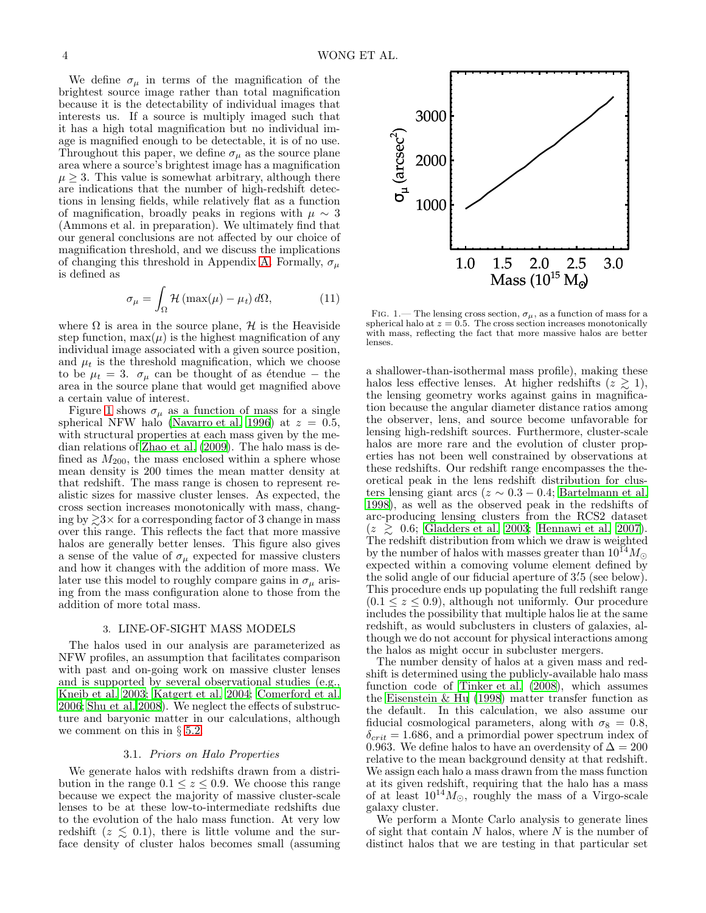We define  $\sigma_{\mu}$  in terms of the magnification of the brightest source image rather than total magnification because it is the detectability of individual images that interests us. If a source is multiply imaged such that it has a high total magnification but no individual image is magnified enough to be detectable, it is of no use. Throughout this paper, we define  $\sigma_{\mu}$  as the source plane area where a source's brightest image has a magnification  $\mu \geq 3$ . This value is somewhat arbitrary, although there are indications that the number of high-redshift detections in lensing fields, while relatively flat as a function of magnification, broadly peaks in regions with  $\mu \sim 3$ (Ammons et al. in preparation). We ultimately find that our general conclusions are not affected by our choice of magnification threshold, and we discuss the implications of changing this threshold in Appendix [A.](#page-18-0) Formally,  $\sigma_{\mu}$ is defined as

$$
\sigma_{\mu} = \int_{\Omega} \mathcal{H} \left( \max(\mu) - \mu_t \right) d\Omega, \tag{11}
$$

where  $\Omega$  is area in the source plane,  $\mathcal H$  is the Heaviside step function,  $\max(\mu)$  is the highest magnification of any individual image associated with a given source position, and  $\mu_t$  is the threshold magnification, which we choose to be  $\mu_t = 3$ .  $\sigma_\mu$  can be thought of as étendue – the area in the source plane that would get magnified above a certain value of interest.

Figure [1](#page-3-1) shows  $\sigma_{\mu}$  as a function of mass for a single spherical NFW halo [\(Navarro et al. 1996\)](#page-23-41) at  $z = 0.5$ , with structural properties at each mass given by the median relations of [Zhao et al. \(2009\)](#page-23-42). The halo mass is defined as  $M_{200}$ , the mass enclosed within a sphere whose mean density is 200 times the mean matter density at that redshift. The mass range is chosen to represent realistic sizes for massive cluster lenses. As expected, the cross section increases monotonically with mass, changing by  $\geq 3 \times$  for a corresponding factor of 3 change in mass over this range. This reflects the fact that more massive halos are generally better lenses. This figure also gives a sense of the value of  $\sigma_{\mu}$  expected for massive clusters and how it changes with the addition of more mass. We later use this model to roughly compare gains in  $\sigma_u$  arising from the mass configuration alone to those from the addition of more total mass.

#### 3. LINE-OF-SIGHT MASS MODELS

<span id="page-3-0"></span>The halos used in our analysis are parameterized as NFW profiles, an assumption that facilitates comparison with past and on-going work on massive cluster lenses and is supported by several observational studies (e.g., [Kneib et al. 2003](#page-22-31); [Katgert et al. 2004;](#page-22-32) [Comerford et al.](#page-22-33) [2006;](#page-22-33) [Shu et al. 2008\)](#page-23-43). We neglect the effects of substructure and baryonic matter in our calculations, although we comment on this in  $\S$  [5.2.](#page-14-0)

### 3.1. Priors on Halo Properties

<span id="page-3-2"></span>We generate halos with redshifts drawn from a distribution in the range  $0.1 \leq z \leq 0.9$ . We choose this range because we expect the majority of massive cluster-scale lenses to be at these low-to-intermediate redshifts due to the evolution of the halo mass function. At very low redshift  $(z \leq 0.1)$ , there is little volume and the surface density of cluster halos becomes small (assuming



<span id="page-3-1"></span>FIG. 1.— The lensing cross section,  $\sigma_{\mu}$ , as a function of mass for a spherical halo at  $z = 0.5$ . The cross section increases monotonically with mass, reflecting the fact that more massive halos are better lenses.

a shallower-than-isothermal mass profile), making these halos less effective lenses. At higher redshifts  $(z \geq 1)$ , the lensing geometry works against gains in magnification because the angular diameter distance ratios among the observer, lens, and source become unfavorable for lensing high-redshift sources. Furthermore, cluster-scale halos are more rare and the evolution of cluster properties has not been well constrained by observations at these redshifts. Our redshift range encompasses the theoretical peak in the lens redshift distribution for clusters lensing giant arcs ( $z \sim 0.3 - 0.4$ ; [Bartelmann et al.](#page-22-34) [1998\)](#page-22-34), as well as the observed peak in the redshifts of arc-producing lensing clusters from the RCS2 dataset  $(z \geq 0.6;$  [Gladders et al. 2003;](#page-22-35) [Hennawi et al. 2007](#page-22-36)). The redshift distribution from which we draw is weighted by the number of halos with masses greater than  $10^{14} M_{\odot}$ expected within a comoving volume element defined by the solid angle of our fiducial aperture of 3'5 (see below). This procedure ends up populating the full redshift range  $(0.1 \le z \le 0.9)$ , although not uniformly. Our procedure includes the possibility that multiple halos lie at the same redshift, as would subclusters in clusters of galaxies, although we do not account for physical interactions among the halos as might occur in subcluster mergers.

The number density of halos at a given mass and redshift is determined using the publicly-available halo mass function code of [Tinker et al. \(2008\)](#page-23-44), which assumes the Eisenstein  $&$  Hu (1998) matter transfer function as the default. In this calculation, we also assume our fiducial cosmological parameters, along with  $\sigma_8 = 0.8$ ,  $\delta_{crit} = 1.686$ , and a primordial power spectrum index of 0.963. We define halos to have an overdensity of  $\Delta = 200$ relative to the mean background density at that redshift. We assign each halo a mass drawn from the mass function at its given redshift, requiring that the halo has a mass of at least  $10^{14}M_{\odot}$ , roughly the mass of a Virgo-scale galaxy cluster.

We perform a Monte Carlo analysis to generate lines of sight that contain  $N$  halos, where  $N$  is the number of distinct halos that we are testing in that particular set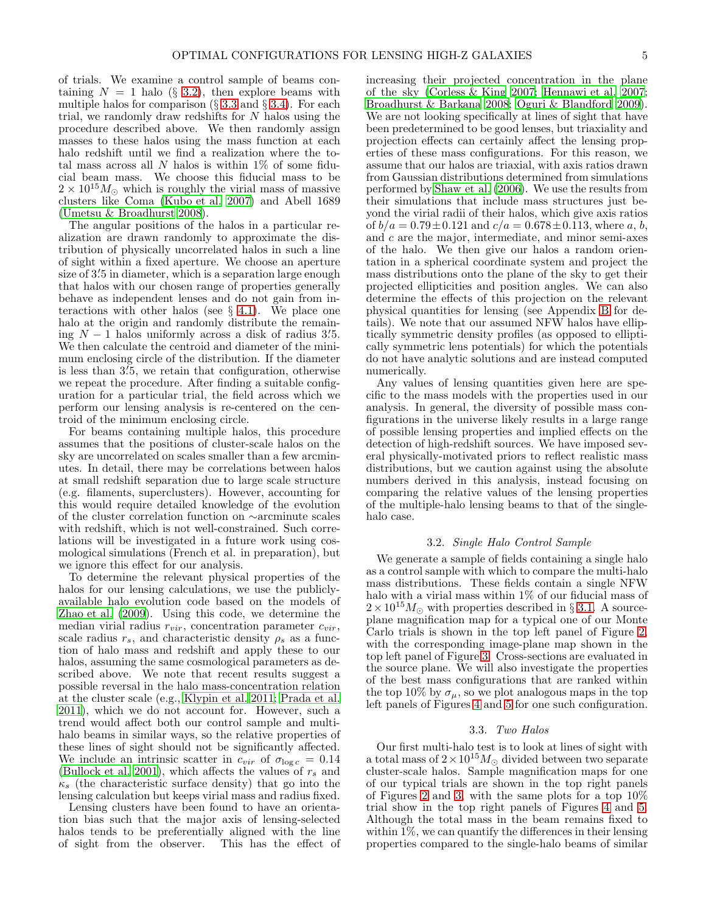of trials. We examine a control sample of beams containing  $N = 1$  halo (§ [3.2\)](#page-4-0), then explore beams with multiple halos for comparison  $(\S 3.3 \text{ and } \S 3.4)$  $(\S 3.3 \text{ and } \S 3.4)$  $(\S 3.3 \text{ and } \S 3.4)$  $(\S 3.3 \text{ and } \S 3.4)$ . For each trial, we randomly draw redshifts for  $N$  halos using the procedure described above. We then randomly assign masses to these halos using the mass function at each halo redshift until we find a realization where the total mass across all  $N$  halos is within 1% of some fiducial beam mass. We choose this fiducial mass to be  $2 \times 10^{15} M_{\odot}$  which is roughly the virial mass of massive clusters like Coma [\(Kubo et al. 2007](#page-23-45)) and Abell 1689 [\(Umetsu & Broadhurst 2008\)](#page-23-46).

The angular positions of the halos in a particular realization are drawn randomly to approximate the distribution of physically uncorrelated halos in such a line of sight within a fixed aperture. We choose an aperture size of 3.5 in diameter, which is a separation large enough that halos with our chosen range of properties generally behave as independent lenses and do not gain from interactions with other halos (see  $\S$  [4.1\)](#page-6-1). We place one halo at the origin and randomly distribute the remain- $\lim_{M \to \infty} N - 1$  halos uniformly across a disk of radius 3.5. We then calculate the centroid and diameter of the minimum enclosing circle of the distribution. If the diameter is less than 3. ′5, we retain that configuration, otherwise we repeat the procedure. After finding a suitable configuration for a particular trial, the field across which we perform our lensing analysis is re-centered on the centroid of the minimum enclosing circle.

For beams containing multiple halos, this procedure assumes that the positions of cluster-scale halos on the sky are uncorrelated on scales smaller than a few arcminutes. In detail, there may be correlations between halos at small redshift separation due to large scale structure (e.g. filaments, superclusters). However, accounting for this would require detailed knowledge of the evolution of the cluster correlation function on ∼arcminute scales with redshift, which is not well-constrained. Such correlations will be investigated in a future work using cosmological simulations (French et al. in preparation), but we ignore this effect for our analysis.

To determine the relevant physical properties of the halos for our lensing calculations, we use the publiclyavailable halo evolution code based on the models of [Zhao et al. \(2009](#page-23-42)). Using this code, we determine the median virial radius  $r_{vir}$ , concentration parameter  $c_{vir}$ , scale radius  $r_s$ , and characteristic density  $\rho_s$  as a function of halo mass and redshift and apply these to our halos, assuming the same cosmological parameters as described above. We note that recent results suggest a possible reversal in the halo mass-concentration relation at the cluster scale (e.g., [Klypin et al. 2011;](#page-22-38) [Prada et al.](#page-23-47) [2011\)](#page-23-47), which we do not account for. However, such a trend would affect both our control sample and multihalo beams in similar ways, so the relative properties of these lines of sight should not be significantly affected. We include an intrinsic scatter in  $c_{vir}$  of  $\sigma_{\log c} = 0.14$ [\(Bullock et al. 2001\)](#page-22-39), which affects the values of  $r_s$  and  $\kappa_s$  (the characteristic surface density) that go into the lensing calculation but keeps virial mass and radius fixed.

Lensing clusters have been found to have an orientation bias such that the major axis of lensing-selected halos tends to be preferentially aligned with the line of sight from the observer. This has the effect of increasing their projected concentration in the plane of the sky [\(Corless & King 2007;](#page-22-40) [Hennawi et al. 2007](#page-22-36); [Broadhurst & Barkana 2008;](#page-22-41) [Oguri & Blandford 2009](#page-23-48)). We are not looking specifically at lines of sight that have been predetermined to be good lenses, but triaxiality and projection effects can certainly affect the lensing properties of these mass configurations. For this reason, we assume that our halos are triaxial, with axis ratios drawn from Gaussian distributions determined from simulations performed by [Shaw et al. \(2006\)](#page-23-49). We use the results from their simulations that include mass structures just beyond the virial radii of their halos, which give axis ratios of  $b/a = 0.79 \pm 0.121$  and  $c/a = 0.678 \pm 0.113$ , where a, b, and c are the major, intermediate, and minor semi-axes of the halo. We then give our halos a random orientation in a spherical coordinate system and project the mass distributions onto the plane of the sky to get their projected ellipticities and position angles. We can also determine the effects of this projection on the relevant physical quantities for lensing (see Appendix [B](#page-19-0) for details). We note that our assumed NFW halos have elliptically symmetric density profiles (as opposed to elliptically symmetric lens potentials) for which the potentials do not have analytic solutions and are instead computed numerically.

Any values of lensing quantities given here are specific to the mass models with the properties used in our analysis. In general, the diversity of possible mass configurations in the universe likely results in a large range of possible lensing properties and implied effects on the detection of high-redshift sources. We have imposed several physically-motivated priors to reflect realistic mass distributions, but we caution against using the absolute numbers derived in this analysis, instead focusing on comparing the relative values of the lensing properties of the multiple-halo lensing beams to that of the singlehalo case.

# 3.2. Single Halo Control Sample

<span id="page-4-0"></span>We generate a sample of fields containing a single halo as a control sample with which to compare the multi-halo mass distributions. These fields contain a single NFW halo with a virial mass within 1% of our fiducial mass of  $2 \times 10^{15} M_{\odot}$  with properties described in § [3.1.](#page-3-2) A sourceplane magnification map for a typical one of our Monte Carlo trials is shown in the top left panel of Figure [2,](#page-5-1) with the corresponding image-plane map shown in the top left panel of Figure [3.](#page-6-2) Cross-sections are evaluated in the source plane. We will also investigate the properties of the best mass configurations that are ranked within the top 10% by  $\sigma_{\mu}$ , so we plot analogous maps in the top left panels of Figures [4](#page-7-0) and [5](#page-8-0) for one such configuration.

#### 3.3. Two Halos

<span id="page-4-1"></span>Our first multi-halo test is to look at lines of sight with a total mass of  $2 \times 10^{15} M_{\odot}$  divided between two separate cluster-scale halos. Sample magnification maps for one of our typical trials are shown in the top right panels of Figures [2](#page-5-1) and [3,](#page-6-2) with the same plots for a top  $10\%$ trial show in the top right panels of Figures [4](#page-7-0) and [5.](#page-8-0) Although the total mass in the beam remains fixed to within  $1\%$ , we can quantify the differences in their lensing properties compared to the single-halo beams of similar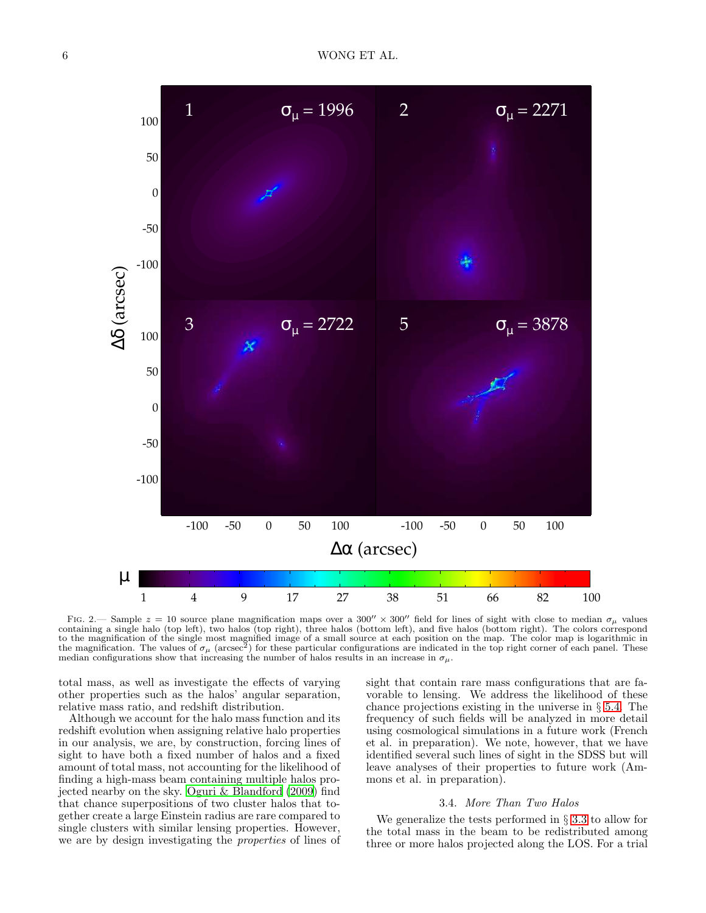

<span id="page-5-1"></span>FIG. 2.— Sample  $z = 10$  source plane magnification maps over a 300''  $\times$  300'' field for lines of sight with close to median  $\sigma_{\mu}$  values containing a single halo (top left), two halos (top right), three halos (bottom left), and five halos (bottom right). The colors correspond to the magnification of the single most magnified image of a small source at each position on the map. The color map is logarithmic in<br>the magnification. The values of  $\sigma_{\mu}$  (arcsec<sup>2</sup>) for these particular configurati median configurations show that increasing the number of halos results in an increase in  $\sigma_{\mu}$ .

total mass, as well as investigate the effects of varying other properties such as the halos' angular separation, relative mass ratio, and redshift distribution.

Although we account for the halo mass function and its redshift evolution when assigning relative halo properties in our analysis, we are, by construction, forcing lines of sight to have both a fixed number of halos and a fixed amount of total mass, not accounting for the likelihood of finding a high-mass beam containing multiple halos projected nearby on the sky. [Oguri & Blandford \(2009\)](#page-23-48) find that chance superpositions of two cluster halos that together create a large Einstein radius are rare compared to single clusters with similar lensing properties. However, we are by design investigating the properties of lines of sight that contain rare mass configurations that are favorable to lensing. We address the likelihood of these chance projections existing in the universe in § [5.4.](#page-15-0) The frequency of such fields will be analyzed in more detail using cosmological simulations in a future work (French et al. in preparation). We note, however, that we have identified several such lines of sight in the SDSS but will leave analyses of their properties to future work (Ammons et al. in preparation).

## 3.4. More Than Two Halos

<span id="page-5-0"></span>We generalize the tests performed in  $\S 3.3$  $\S 3.3$  to allow for the total mass in the beam to be redistributed among three or more halos projected along the LOS. For a trial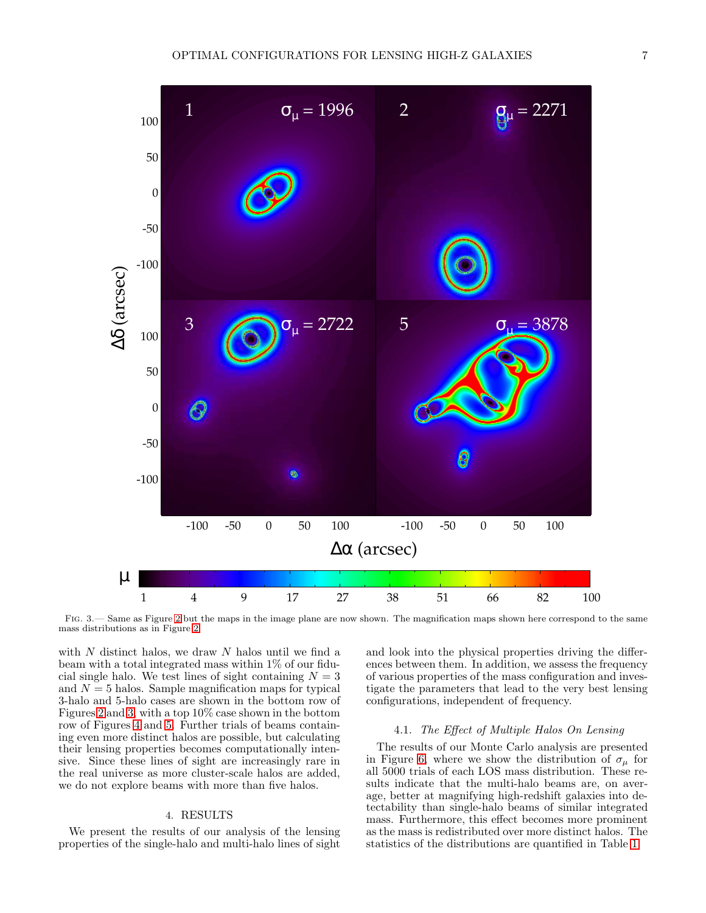

<span id="page-6-2"></span>Fig. 3.— Same as Figure [2](#page-5-1) but the maps in the image plane are now shown. The magnification maps shown here correspond to the same mass distributions as in Figure [2.](#page-5-1)

with  $N$  distinct halos, we draw  $N$  halos until we find a beam with a total integrated mass within 1% of our fiducial single halo. We test lines of sight containing  $N = 3$ and  $N = 5$  halos. Sample magnification maps for typical 3-halo and 5-halo cases are shown in the bottom row of Figures [2](#page-5-1) and [3,](#page-6-2) with a top 10% case shown in the bottom row of Figures [4](#page-7-0) and [5.](#page-8-0) Further trials of beams containing even more distinct halos are possible, but calculating their lensing properties becomes computationally intensive. Since these lines of sight are increasingly rare in the real universe as more cluster-scale halos are added, we do not explore beams with more than five halos.

# 4. RESULTS

<span id="page-6-0"></span>We present the results of our analysis of the lensing properties of the single-halo and multi-halo lines of sight

and look into the physical properties driving the differences between them. In addition, we assess the frequency of various properties of the mass configuration and investigate the parameters that lead to the very best lensing configurations, independent of frequency.

# 4.1. The Effect of Multiple Halos On Lensing

<span id="page-6-1"></span>The results of our Monte Carlo analysis are presented in Figure [6,](#page-9-0) where we show the distribution of  $\sigma_u$  for all 5000 trials of each LOS mass distribution. These results indicate that the multi-halo beams are, on average, better at magnifying high-redshift galaxies into detectability than single-halo beams of similar integrated mass. Furthermore, this effect becomes more prominent as the mass is redistributed over more distinct halos. The statistics of the distributions are quantified in Table [1.](#page-8-1)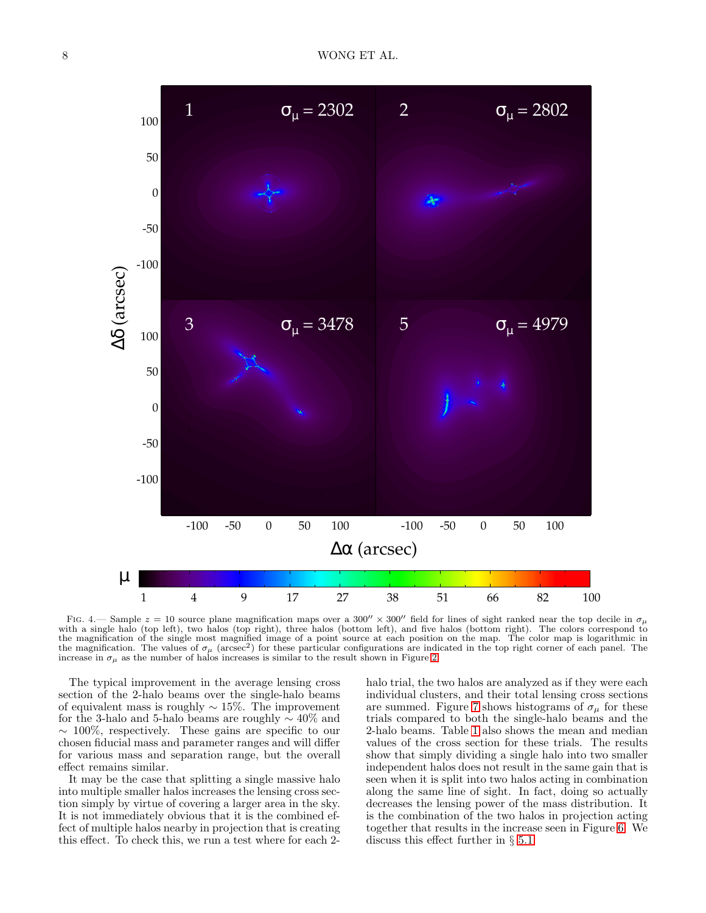

<span id="page-7-0"></span>FIG. 4.— Sample  $z = 10$  source plane magnification maps over a 300''  $\times$  300'' field for lines of sight ranked near the top decile in  $\sigma_\mu$ with a single halo (top left), two halos (top right), three halos (bottom left), and five halos (bottom right). The colors correspond to the magnification of the single most magnified image of a point source at each position on the map. The color map is logarithmic in the magnification. The values of  $\sigma_{\mu}$  (arcsec<sup>2</sup>) for these particular configurations are indicated in the top right corner of each panel. The increase in  $\sigma_{\mu}$  as the number of halos increases is similar to the result shown in Figure [2.](#page-5-1)

The typical improvement in the average lensing cross section of the 2-halo beams over the single-halo beams of equivalent mass is roughly  $\sim 15\%$ . The improvement for the 3-halo and 5-halo beams are roughly ∼ 40% and  $\sim 100\%$ , respectively. These gains are specific to our chosen fiducial mass and parameter ranges and will differ for various mass and separation range, but the overall effect remains similar.

It may be the case that splitting a single massive halo into multiple smaller halos increases the lensing cross section simply by virtue of covering a larger area in the sky. It is not immediately obvious that it is the combined effect of multiple halos nearby in projection that is creating this effect. To check this, we run a test where for each 2halo trial, the two halos are analyzed as if they were each individual clusters, and their total lensing cross sections are summed. Figure [7](#page-9-1) shows histograms of  $\sigma_{\mu}$  for these trials compared to both the single-halo beams and the 2-halo beams. Table [1](#page-8-1) also shows the mean and median values of the cross section for these trials. The results show that simply dividing a single halo into two smaller independent halos does not result in the same gain that is seen when it is split into two halos acting in combination along the same line of sight. In fact, doing so actually decreases the lensing power of the mass distribution. It is the combination of the two halos in projection acting together that results in the increase seen in Figure [6.](#page-9-0) We discuss this effect further in § [5.1.](#page-13-1)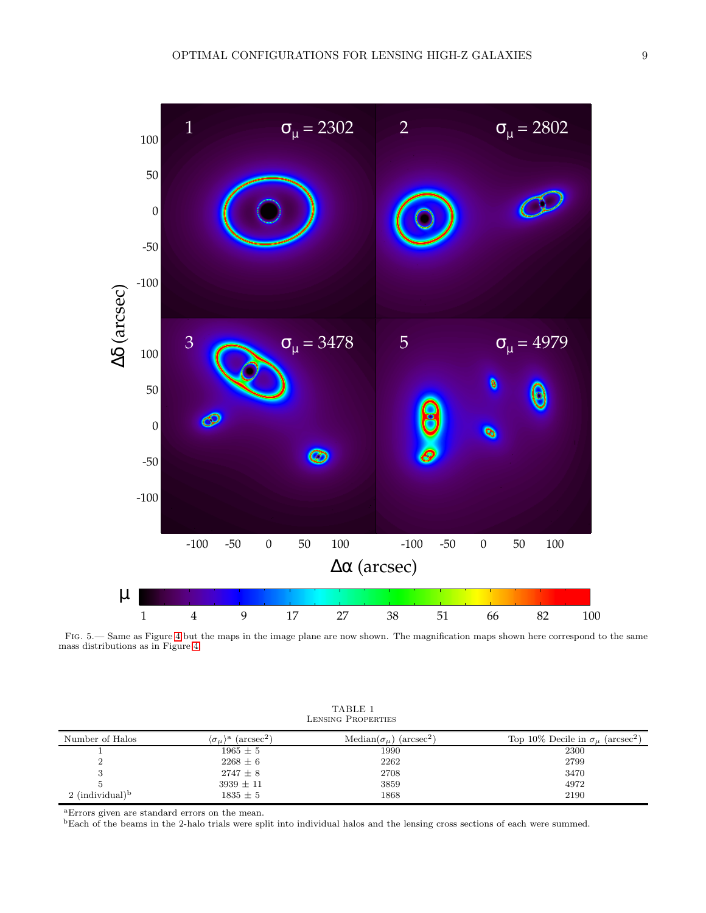

<span id="page-8-0"></span>Fig. 5.— Same as Figure [4](#page-7-0) but the maps in the image plane are now shown. The magnification maps shown here correspond to the same mass distributions as in Figure [4.](#page-7-0)

<span id="page-8-1"></span>

| Number of Halos        | $(\text{arcsec}^2)$<br>$\lambda$<br>$\langle \sigma_{\mu} \rangle$ | $Median(\sigma_u)$<br>$(\text{arcsec}^2)$ | Top 10% Decile in $\sigma_{\mu}$ (arcsec <sup>2</sup> ) |
|------------------------|--------------------------------------------------------------------|-------------------------------------------|---------------------------------------------------------|
|                        | $1965 \pm 5$                                                       | 1990                                      | 2300                                                    |
|                        | $2268 \pm 6$                                                       | 2262                                      | 2799                                                    |
|                        | $2747 \pm 8$                                                       | 2708                                      | 3470                                                    |
|                        | $3939 \pm 11$                                                      | 3859                                      | 4972                                                    |
| 2 (individual) $\rm^b$ | $1835 \pm 5$                                                       | 1868                                      | 2190                                                    |

TABLE 1 Lensing Properties

<sup>a</sup>Errors given are standard errors on the mean.

<sup>b</sup>Each of the beams in the 2-halo trials were split into individual halos and the lensing cross sections of each were summed.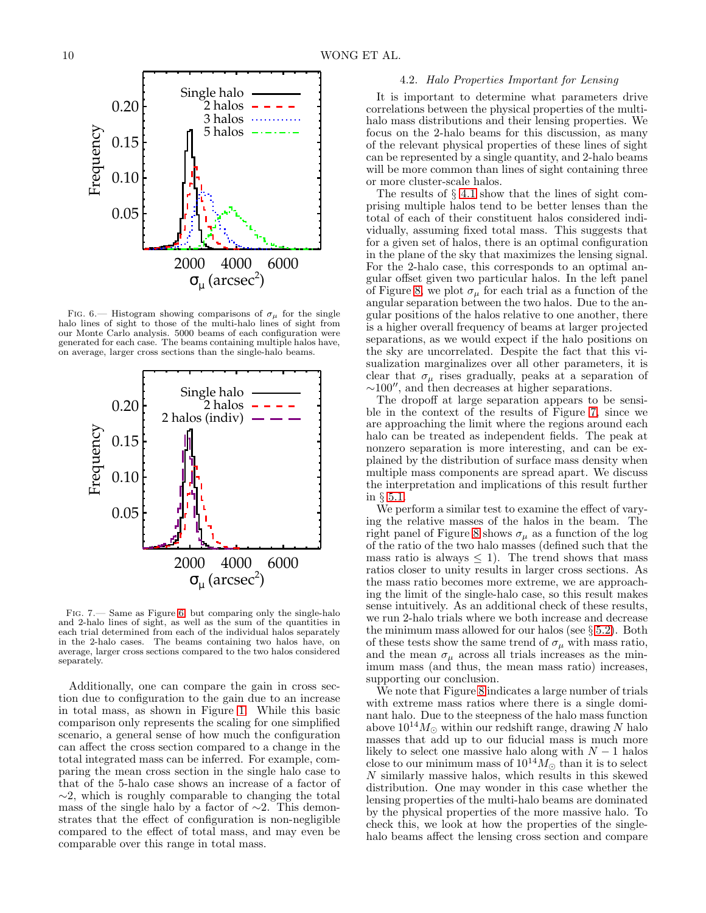

<span id="page-9-0"></span>FIG. 6.— Histogram showing comparisons of  $\sigma_{\mu}$  for the single halo lines of sight to those of the multi-halo lines of sight from our Monte Carlo analysis. 5000 beams of each configuration were generated for each case. The beams containing multiple halos have, on average, larger cross sections than the single-halo beams.



<span id="page-9-1"></span>Fig. 7.— Same as Figure [6,](#page-9-0) but comparing only the single-halo and 2-halo lines of sight, as well as the sum of the quantities in each trial determined from each of the individual halos separately in the 2-halo cases. The beams containing two halos have, on average, larger cross sections compared to the two halos considered separately.

Additionally, one can compare the gain in cross section due to configuration to the gain due to an increase in total mass, as shown in Figure [1.](#page-3-1) While this basic comparison only represents the scaling for one simplified scenario, a general sense of how much the configuration can affect the cross section compared to a change in the total integrated mass can be inferred. For example, comparing the mean cross section in the single halo case to that of the 5-halo case shows an increase of a factor of  $\sim$ 2, which is roughly comparable to changing the total mass of the single halo by a factor of  $\sim$ 2. This demonstrates that the effect of configuration is non-negligible compared to the effect of total mass, and may even be comparable over this range in total mass.

### 4.2. Halo Properties Important for Lensing

<span id="page-9-2"></span>It is important to determine what parameters drive correlations between the physical properties of the multihalo mass distributions and their lensing properties. We focus on the 2-halo beams for this discussion, as many of the relevant physical properties of these lines of sight can be represented by a single quantity, and 2-halo beams will be more common than lines of sight containing three or more cluster-scale halos.

The results of § [4.1](#page-6-1) show that the lines of sight comprising multiple halos tend to be better lenses than the total of each of their constituent halos considered individually, assuming fixed total mass. This suggests that for a given set of halos, there is an optimal configuration in the plane of the sky that maximizes the lensing signal. For the 2-halo case, this corresponds to an optimal angular offset given two particular halos. In the left panel of Figure [8,](#page-10-0) we plot  $\sigma_{\mu}$  for each trial as a function of the angular separation between the two halos. Due to the angular positions of the halos relative to one another, there is a higher overall frequency of beams at larger projected separations, as we would expect if the halo positions on the sky are uncorrelated. Despite the fact that this visualization marginalizes over all other parameters, it is clear that  $\sigma_{\mu}$  rises gradually, peaks at a separation of <sup>∼</sup>100′′, and then decreases at higher separations.

The dropoff at large separation appears to be sensible in the context of the results of Figure [7,](#page-9-1) since we are approaching the limit where the regions around each halo can be treated as independent fields. The peak at nonzero separation is more interesting, and can be explained by the distribution of surface mass density when multiple mass components are spread apart. We discuss the interpretation and implications of this result further in § [5.1.](#page-13-1)

We perform a similar test to examine the effect of varying the relative masses of the halos in the beam. The right panel of Figure [8](#page-10-0) shows  $\sigma_{\mu}$  as a function of the log of the ratio of the two halo masses (defined such that the mass ratio is always  $\leq$  1). The trend shows that mass ratios closer to unity results in larger cross sections. As the mass ratio becomes more extreme, we are approaching the limit of the single-halo case, so this result makes sense intuitively. As an additional check of these results, we run 2-halo trials where we both increase and decrease the minimum mass allowed for our halos (see  $\S 5.2$ ). Both of these tests show the same trend of  $\sigma_{\mu}$  with mass ratio, and the mean  $\sigma_\mu$  across all trials increases as the minimum mass (and thus, the mean mass ratio) increases, supporting our conclusion.

We note that Figure [8](#page-10-0) indicates a large number of trials with extreme mass ratios where there is a single dominant halo. Due to the steepness of the halo mass function above  $10^{14}M_{\odot}$  within our redshift range, drawing N halo masses that add up to our fiducial mass is much more likely to select one massive halo along with  $N-1$  halos<br>close to our minimum mass of  $10^{14}M_{\odot}$  than it is to select N similarly massive halos, which results in this skewed distribution. One may wonder in this case whether the lensing properties of the multi-halo beams are dominated by the physical properties of the more massive halo. To check this, we look at how the properties of the singlehalo beams affect the lensing cross section and compare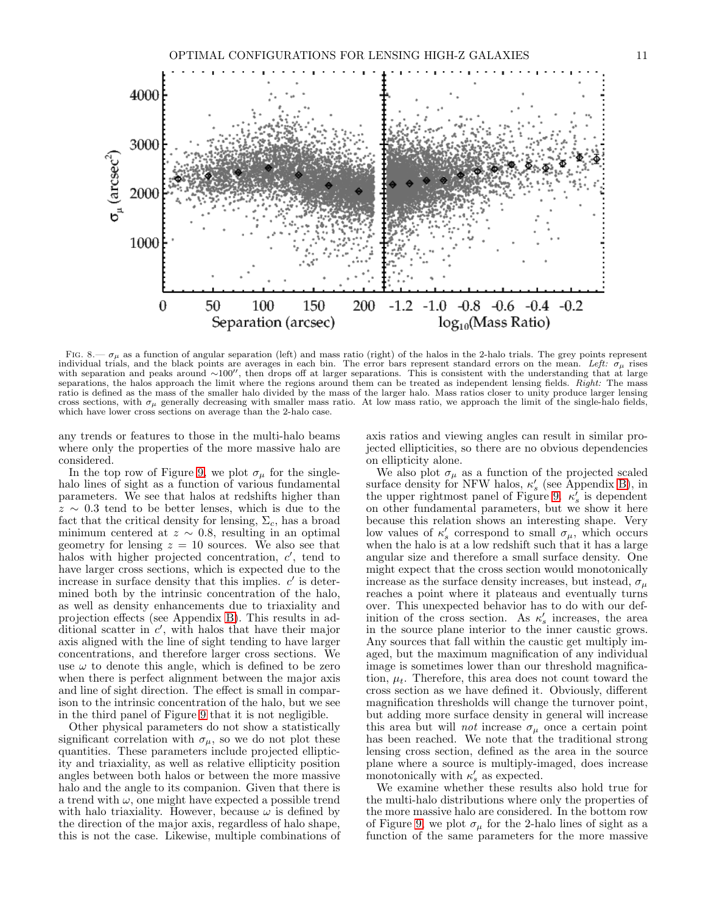

<span id="page-10-0"></span>FIG.  $8-\sigma_\mu$  as a function of angular separation (left) and mass ratio (right) of the halos in the 2-halo trials. The grey points represent individual trials, and the black points are averages in each bin. The error bars represent standard errors on the mean. Left:  $\sigma_{\mu}$  rises with separation and peaks around ∼100″, then drops off at larger separations. This is consistent with the understanding that at large separations, the halos approach the limit where the regions around them can be treated as independent lensing fields. Right: The mass ratio is defined as the mass of the smaller halo divided by the mass of the larger halo. Mass ratios closer to unity produce larger lensing cross sections, with  $\sigma_{\mu}$  generally decreasing with smaller mass ratio. At low mass ratio, we approach the limit of the single-halo fields, which have lower cross sections on average than the 2-halo case.

any trends or features to those in the multi-halo beams where only the properties of the more massive halo are considered.

In the top row of Figure [9,](#page-11-0) we plot  $\sigma_{\mu}$  for the singlehalo lines of sight as a function of various fundamental parameters. We see that halos at redshifts higher than  $z \sim 0.3$  tend to be better lenses, which is due to the fact that the critical density for lensing,  $\Sigma_c$ , has a broad minimum centered at  $z \sim 0.8$ , resulting in an optimal geometry for lensing  $z = 10$  sources. We also see that halos with higher projected concentration,  $c'$ , tend to have larger cross sections, which is expected due to the increase in surface density that this implies.  $c'$  is determined both by the intrinsic concentration of the halo, as well as density enhancements due to triaxiality and projection effects (see Appendix [B\)](#page-19-0). This results in additional scatter in  $c'$ , with halos that have their major axis aligned with the line of sight tending to have larger concentrations, and therefore larger cross sections. We use  $\omega$  to denote this angle, which is defined to be zero when there is perfect alignment between the major axis and line of sight direction. The effect is small in comparison to the intrinsic concentration of the halo, but we see in the third panel of Figure [9](#page-11-0) that it is not negligible.

Other physical parameters do not show a statistically significant correlation with  $\sigma_{\mu}$ , so we do not plot these quantities. These parameters include projected ellipticity and triaxiality, as well as relative ellipticity position angles between both halos or between the more massive halo and the angle to its companion. Given that there is a trend with  $\omega$ , one might have expected a possible trend with halo triaxiality. However, because  $\omega$  is defined by the direction of the major axis, regardless of halo shape, this is not the case. Likewise, multiple combinations of

axis ratios and viewing angles can result in similar projected ellipticities, so there are no obvious dependencies on ellipticity alone.

We also plot  $\sigma_\mu$  as a function of the projected scaled surface density for NFW halos,  $\kappa'_{s}$  (see Appendix [B\)](#page-19-0), in the upper rightmost panel of Figure [9.](#page-11-0)  $\kappa'_{s}$  is dependent on other fundamental parameters, but we show it here because this relation shows an interesting shape. Very low values of  $\kappa'_{s}$  correspond to small  $\sigma_{\mu}$ , which occurs when the halo is at a low redshift such that it has a large angular size and therefore a small surface density. One might expect that the cross section would monotonically increase as the surface density increases, but instead,  $\sigma_{\mu}$ reaches a point where it plateaus and eventually turns over. This unexpected behavior has to do with our definition of the cross section. As  $\kappa'_{s}$  increases, the area in the source plane interior to the inner caustic grows. Any sources that fall within the caustic get multiply imaged, but the maximum magnification of any individual image is sometimes lower than our threshold magnification,  $\mu_t$ . Therefore, this area does not count toward the cross section as we have defined it. Obviously, different magnification thresholds will change the turnover point, but adding more surface density in general will increase this area but will *not* increase  $\sigma_{\mu}$  once a certain point has been reached. We note that the traditional strong lensing cross section, defined as the area in the source plane where a source is multiply-imaged, does increase monotonically with  $\kappa'_{s}$  as expected.

We examine whether these results also hold true for the multi-halo distributions where only the properties of the more massive halo are considered. In the bottom row of Figure [9,](#page-11-0) we plot  $\sigma_{\mu}$  for the 2-halo lines of sight as a function of the same parameters for the more massive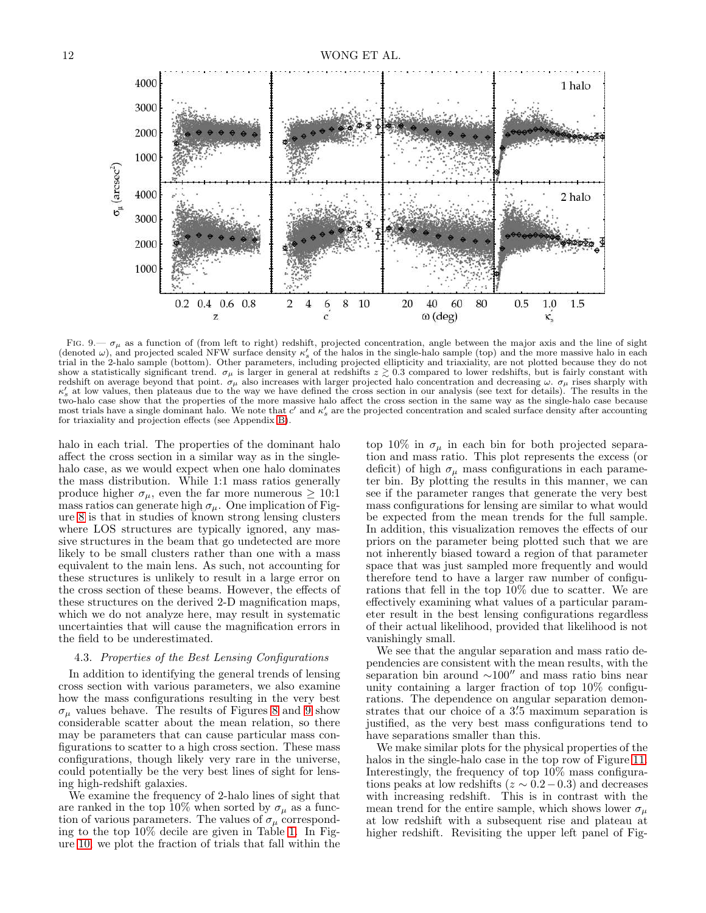

<span id="page-11-0"></span>FIG. 9.—  $\sigma_{\mu}$  as a function of (from left to right) redshift, projected concentration, angle between the major axis and the line of sight (denoted  $\omega$ ), and projected scaled NFW surface density  $\kappa'_{s}$  of the halos in the single-halo sample (top) and the more massive halo in each (denoted  $\omega$ ), and projected scaled NFW surface density  $\kappa'_{s}$  of the h show a statistically significant trend.  $\sigma_{\mu}$  is larger in general at redshifts  $z \gtrsim 0.3$  compared to lower redshifts, but is fairly constant with redshift on average beyond that point.  $\sigma_{\mu}$  also increases with larger projected halo concentration and decreasing  $\omega$ .  $\sigma_{\mu}$  rises sharply with  $\omega'$  at least place that place then plate in the state of the distr  $\kappa'_{s}$  at low values, then plateaus due to the way we have defined the cross section in our analysis (see text for details). The results in the two-halo case show that the properties of the more massive halo affect the cross section in the same way as the single-halo case because most trials have a single dominant halo. We note that  $c'$  and  $\kappa'_{s}$  are the projected concentration and scaled surface density after accounting for triaxiality and projection effects (see Appendix [B\)](#page-19-0).

halo in each trial. The properties of the dominant halo affect the cross section in a similar way as in the singlehalo case, as we would expect when one halo dominates the mass distribution. While 1:1 mass ratios generally produce higher  $\sigma_{\mu}$ , even the far more numerous  $\geq 10:1$ mass ratios can generate high  $\sigma_{\mu}$ . One implication of Figure [8](#page-10-0) is that in studies of known strong lensing clusters where LOS structures are typically ignored, any massive structures in the beam that go undetected are more likely to be small clusters rather than one with a mass equivalent to the main lens. As such, not accounting for these structures is unlikely to result in a large error on the cross section of these beams. However, the effects of these structures on the derived 2-D magnification maps, which we do not analyze here, may result in systematic uncertainties that will cause the magnification errors in the field to be underestimated.

# <span id="page-11-1"></span>4.3. Properties of the Best Lensing Configurations

In addition to identifying the general trends of lensing cross section with various parameters, we also examine how the mass configurations resulting in the very best  $\sigma_{\mu}$  values behave. The results of Figures [8](#page-10-0) and [9](#page-11-0) show considerable scatter about the mean relation, so there may be parameters that can cause particular mass configurations to scatter to a high cross section. These mass configurations, though likely very rare in the universe, could potentially be the very best lines of sight for lensing high-redshift galaxies.

We examine the frequency of 2-halo lines of sight that are ranked in the top 10% when sorted by  $\sigma_{\mu}$  as a function of various parameters. The values of  $\sigma_{\mu}$  corresponding to the top 10% decile are given in Table [1.](#page-8-1) In Figure [10,](#page-12-0) we plot the fraction of trials that fall within the

top 10% in  $\sigma_{\mu}$  in each bin for both projected separation and mass ratio. This plot represents the excess (or deficit) of high  $\sigma_{\mu}$  mass configurations in each parameter bin. By plotting the results in this manner, we can see if the parameter ranges that generate the very best mass configurations for lensing are similar to what would be expected from the mean trends for the full sample. In addition, this visualization removes the effects of our priors on the parameter being plotted such that we are not inherently biased toward a region of that parameter space that was just sampled more frequently and would therefore tend to have a larger raw number of configurations that fell in the top 10% due to scatter. We are effectively examining what values of a particular parameter result in the best lensing configurations regardless of their actual likelihood, provided that likelihood is not vanishingly small.

We see that the angular separation and mass ratio dependencies are consistent with the mean results, with the separation bin around <sup>∼</sup>100′′ and mass ratio bins near unity containing a larger fraction of top 10% configurations. The dependence on angular separation demonstrates that our choice of a  $3'5$  maximum separation is justified, as the very best mass configurations tend to have separations smaller than this.

We make similar plots for the physical properties of the halos in the single-halo case in the top row of Figure [11.](#page-13-2) Interestingly, the frequency of top 10% mass configurations peaks at low redshifts ( $z \sim 0.2-0.3$ ) and decreases with increasing redshift. This is in contrast with the mean trend for the entire sample, which shows lower  $\sigma_u$ at low redshift with a subsequent rise and plateau at higher redshift. Revisiting the upper left panel of Fig-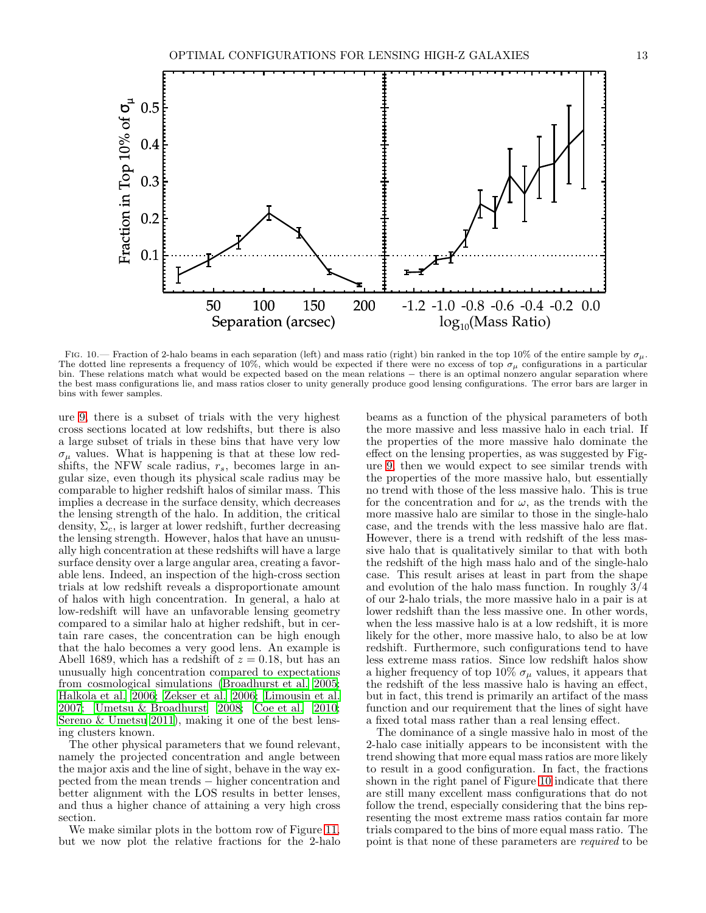

<span id="page-12-0"></span>FIG. 10.— Fraction of 2-halo beams in each separation (left) and mass ratio (right) bin ranked in the top 10% of the entire sample by  $\sigma_{\mu}$ . The dotted line represents a frequency of 10%, which would be expected if there were no excess of top  $\sigma_{\mu}$  configurations in a particular bin. These relations match what would be expected based on the mean relations − there is an optimal nonzero angular separation where the best mass configurations lie, and mass ratios closer to unity generally produce good lensing configurations. The error bars are larger in bins with fewer samples.

ure [9,](#page-11-0) there is a subset of trials with the very highest cross sections located at low redshifts, but there is also a large subset of trials in these bins that have very low  $\sigma_{\mu}$  values. What is happening is that at these low redshifts, the NFW scale radius,  $r_s$ , becomes large in angular size, even though its physical scale radius may be comparable to higher redshift halos of similar mass. This implies a decrease in the surface density, which decreases the lensing strength of the halo. In addition, the critical density,  $\Sigma_c$ , is larger at lower redshift, further decreasing the lensing strength. However, halos that have an unusually high concentration at these redshifts will have a large surface density over a large angular area, creating a favorable lens. Indeed, an inspection of the high-cross section trials at low redshift reveals a disproportionate amount of halos with high concentration. In general, a halo at low-redshift will have an unfavorable lensing geometry compared to a similar halo at higher redshift, but in certain rare cases, the concentration can be high enough that the halo becomes a very good lens. An example is Abell 1689, which has a redshift of  $z = 0.18$ , but has an unusually high concentration compared to expectations from cosmological simulations [\(Broadhurst et al. 2005;](#page-22-42) [Halkola et al. 2006;](#page-22-43) [Zekser et al. 2006;](#page-23-50) [Limousin et al.](#page-23-51) [2007;](#page-23-51) [Umetsu & Broadhurst 2008;](#page-23-46) [Coe et al. 2010;](#page-22-44) [Sereno & Umetsu 2011\)](#page-23-52), making it one of the best lensing clusters known.

The other physical parameters that we found relevant, namely the projected concentration and angle between the major axis and the line of sight, behave in the way expected from the mean trends − higher concentration and better alignment with the LOS results in better lenses, and thus a higher chance of attaining a very high cross section.

We make similar plots in the bottom row of Figure [11,](#page-13-2) but we now plot the relative fractions for the 2-halo

beams as a function of the physical parameters of both the more massive and less massive halo in each trial. If the properties of the more massive halo dominate the effect on the lensing properties, as was suggested by Figure [9,](#page-11-0) then we would expect to see similar trends with the properties of the more massive halo, but essentially no trend with those of the less massive halo. This is true for the concentration and for  $\omega$ , as the trends with the more massive halo are similar to those in the single-halo case, and the trends with the less massive halo are flat. However, there is a trend with redshift of the less massive halo that is qualitatively similar to that with both the redshift of the high mass halo and of the single-halo case. This result arises at least in part from the shape and evolution of the halo mass function. In roughly 3/4 of our 2-halo trials, the more massive halo in a pair is at lower redshift than the less massive one. In other words, when the less massive halo is at a low redshift, it is more likely for the other, more massive halo, to also be at low redshift. Furthermore, such configurations tend to have less extreme mass ratios. Since low redshift halos show a higher frequency of top 10%  $\sigma_{\mu}$  values, it appears that the redshift of the less massive halo is having an effect, but in fact, this trend is primarily an artifact of the mass function and our requirement that the lines of sight have a fixed total mass rather than a real lensing effect.

The dominance of a single massive halo in most of the 2-halo case initially appears to be inconsistent with the trend showing that more equal mass ratios are more likely to result in a good configuration. In fact, the fractions shown in the right panel of Figure [10](#page-12-0) indicate that there are still many excellent mass configurations that do not follow the trend, especially considering that the bins representing the most extreme mass ratios contain far more trials compared to the bins of more equal mass ratio. The point is that none of these parameters are required to be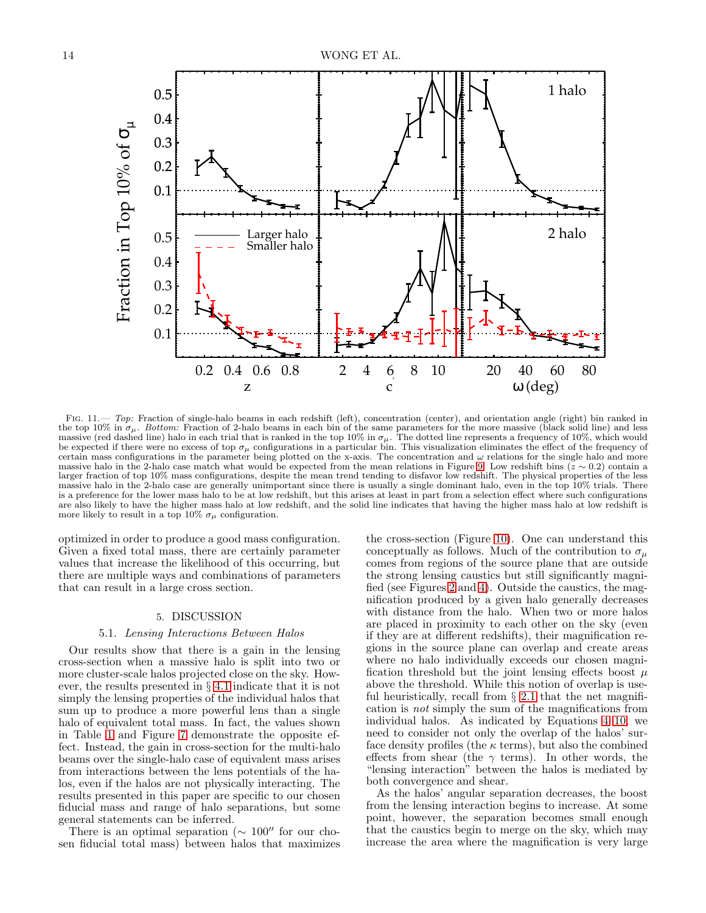

<span id="page-13-2"></span>FIG. 11.— Top: Fraction of single-halo beams in each redshift (left), concentration (center), and orientation angle (right) bin ranked in the top 10% in  $\sigma_{\mu}$ . Bottom: Fraction of 2-halo beams in each bin of the same parameters for the more massive (black solid line) and less massive (red dashed line) halo in each trial that is ranked in the top 10% in  $\sigma_{\mu}$ . The dotted line represents a frequency of 10%, which would be expected if there were no excess of top  $\sigma_\mu$  configurations in a particular bin. This visualization eliminates the effect of the frequency of certain mass configurations in the parameter being plotted on the x-axis. The concentration and  $\omega$  relations for the single halo and more massive halo in the 2-halo case match what would be expected from the mean relations in Figure [9.](#page-11-0) Low redshift bins ( $z \sim 0.2$ ) contain a larger fraction of top 10% mass configurations, despite the mean trend tending to disfavor low redshift. The physical properties of the less massive halo in the 2-halo case are generally unimportant since there is usually a single dominant halo, even in the top 10% trials. There is a preference for the lower mass halo to be at low redshift, but this arises at least in part from a selection effect where such configurations are also likely to have the higher mass halo at low redshift, and the solid line indicates that having the higher mass halo at low redshift is more likely to result in a top 10%  $\sigma_{\mu}$  configuration.

optimized in order to produce a good mass configuration. Given a fixed total mass, there are certainly parameter values that increase the likelihood of this occurring, but there are multiple ways and combinations of parameters that can result in a large cross section.

# 5. DISCUSSION

#### 5.1. Lensing Interactions Between Halos

<span id="page-13-1"></span><span id="page-13-0"></span>Our results show that there is a gain in the lensing cross-section when a massive halo is split into two or more cluster-scale halos projected close on the sky. However, the results presented in § [4.1](#page-6-1) indicate that it is not simply the lensing properties of the individual halos that sum up to produce a more powerful lens than a single halo of equivalent total mass. In fact, the values shown in Table [1](#page-8-1) and Figure [7](#page-9-1) demonstrate the opposite effect. Instead, the gain in cross-section for the multi-halo beams over the single-halo case of equivalent mass arises from interactions between the lens potentials of the halos, even if the halos are not physically interacting. The results presented in this paper are specific to our chosen fiducial mass and range of halo separations, but some general statements can be inferred.

There is an optimal separation ( $\sim 100''$  for our chosen fiducial total mass) between halos that maximizes

the cross-section (Figure [10\)](#page-12-0). One can understand this conceptually as follows. Much of the contribution to  $\sigma_{\mu}$ comes from regions of the source plane that are outside the strong lensing caustics but still significantly magnified (see Figures [2](#page-5-1) and [4\)](#page-7-0). Outside the caustics, the magnification produced by a given halo generally decreases with distance from the halo. When two or more halos are placed in proximity to each other on the sky (even if they are at different redshifts), their magnification regions in the source plane can overlap and create areas where no halo individually exceeds our chosen magnification threshold but the joint lensing effects boost  $\mu$ above the threshold. While this notion of overlap is useful heuristically, recall from  $\S$  [2.1](#page-1-1) that the net magnification is not simply the sum of the magnifications from individual halos. As indicated by Equations [4–](#page-2-0)[10,](#page-2-4) we need to consider not only the overlap of the halos' surface density profiles (the  $\kappa$  terms), but also the combined effects from shear (the  $\gamma$  terms). In other words, the "lensing interaction" between the halos is mediated by both convergence and shear.

As the halos' angular separation decreases, the boost from the lensing interaction begins to increase. At some point, however, the separation becomes small enough that the caustics begin to merge on the sky, which may increase the area where the magnification is very large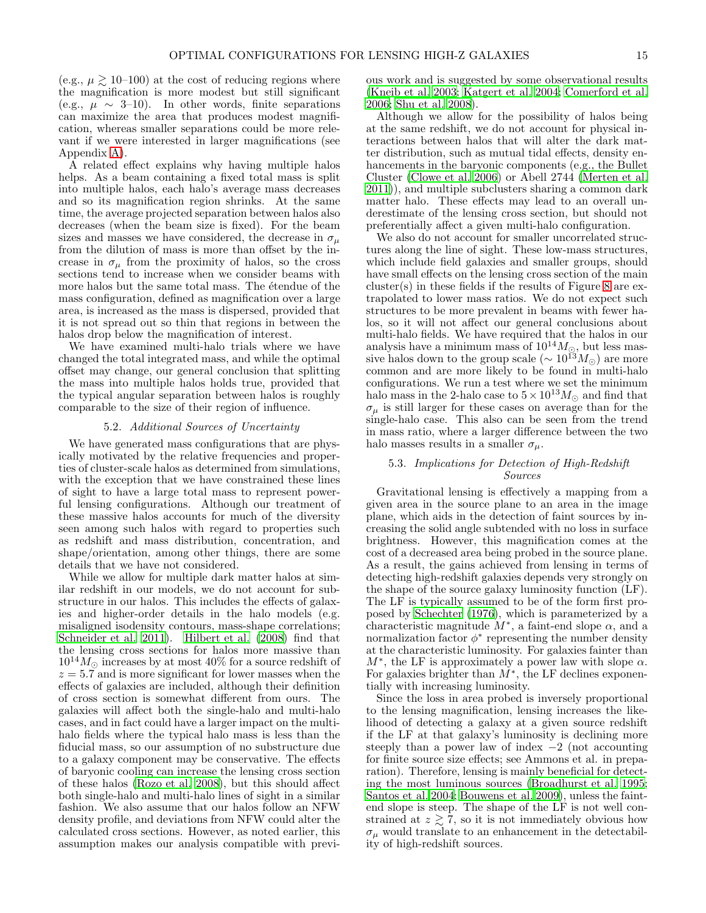(e.g.,  $\mu \gtrsim 10{\text -}100$ ) at the cost of reducing regions where the magnification is more modest but still significant (e.g.,  $\mu \sim 3$ –10). In other words, finite separations can maximize the area that produces modest magnification, whereas smaller separations could be more relevant if we were interested in larger magnifications (see Appendix [A\)](#page-18-0).

A related effect explains why having multiple halos helps. As a beam containing a fixed total mass is split into multiple halos, each halo's average mass decreases and so its magnification region shrinks. At the same time, the average projected separation between halos also decreases (when the beam size is fixed). For the beam sizes and masses we have considered, the decrease in  $\sigma_u$ from the dilution of mass is more than offset by the increase in  $\sigma_{\mu}$  from the proximity of halos, so the cross sections tend to increase when we consider beams with more halos but the same total mass. The étendue of the mass configuration, defined as magnification over a large area, is increased as the mass is dispersed, provided that it is not spread out so thin that regions in between the halos drop below the magnification of interest.

We have examined multi-halo trials where we have changed the total integrated mass, and while the optimal offset may change, our general conclusion that splitting the mass into multiple halos holds true, provided that the typical angular separation between halos is roughly comparable to the size of their region of influence.

## 5.2. Additional Sources of Uncertainty

<span id="page-14-0"></span>We have generated mass configurations that are physically motivated by the relative frequencies and properties of cluster-scale halos as determined from simulations, with the exception that we have constrained these lines of sight to have a large total mass to represent powerful lensing configurations. Although our treatment of these massive halos accounts for much of the diversity seen among such halos with regard to properties such as redshift and mass distribution, concentration, and shape/orientation, among other things, there are some details that we have not considered.

While we allow for multiple dark matter halos at similar redshift in our models, we do not account for substructure in our halos. This includes the effects of galaxies and higher-order details in the halo models (e.g. misaligned isodensity contours, mass-shape correlations; [Schneider et al. 2011\)](#page-23-53). [Hilbert et al. \(2008\)](#page-22-45) find that the lensing cross sections for halos more massive than  $10^{14} M_{\odot}$  increases by at most 40% for a source redshift of  $z = 5.7$  and is more significant for lower masses when the effects of galaxies are included, although their definition of cross section is somewhat different from ours. The galaxies will affect both the single-halo and multi-halo cases, and in fact could have a larger impact on the multihalo fields where the typical halo mass is less than the fiducial mass, so our assumption of no substructure due to a galaxy component may be conservative. The effects of baryonic cooling can increase the lensing cross section of these halos [\(Rozo et al. 2008\)](#page-23-54), but this should affect both single-halo and multi-halo lines of sight in a similar fashion. We also assume that our halos follow an NFW density profile, and deviations from NFW could alter the calculated cross sections. However, as noted earlier, this assumption makes our analysis compatible with previous work and is suggested by some observational results [\(Kneib et al. 2003;](#page-22-31) [Katgert et al. 2004;](#page-22-32) [Comerford et al.](#page-22-33) [2006;](#page-22-33) [Shu et al. 2008\)](#page-23-43).

Although we allow for the possibility of halos being at the same redshift, we do not account for physical interactions between halos that will alter the dark matter distribution, such as mutual tidal effects, density enhancements in the baryonic components (e.g., the Bullet Cluster [\(Clowe et al. 2006\)](#page-22-46) or Abell 2744 [\(Merten et al.](#page-23-55) [2011\)](#page-23-55)), and multiple subclusters sharing a common dark matter halo. These effects may lead to an overall underestimate of the lensing cross section, but should not preferentially affect a given multi-halo configuration.

We also do not account for smaller uncorrelated structures along the line of sight. These low-mass structures, which include field galaxies and smaller groups, should have small effects on the lensing cross section of the main cluster(s) in these fields if the results of Figure [8](#page-10-0) are extrapolated to lower mass ratios. We do not expect such structures to be more prevalent in beams with fewer halos, so it will not affect our general conclusions about multi-halo fields. We have required that the halos in our analysis have a minimum mass of  $10^{14} M_{\odot}$ , but less massive halos down to the group scale ( $\sim 10^{13} M_{\odot}$ ) are more common and are more likely to be found in multi-halo configurations. We run a test where we set the minimum halo mass in the 2-halo case to  $5 \times 10^{13} M_{\odot}$  and find that  $\sigma_{\mu}$  is still larger for these cases on average than for the single-halo case. This also can be seen from the trend in mass ratio, where a larger difference between the two halo masses results in a smaller  $\sigma_{\mu}$ .

# 5.3. Implications for Detection of High-Redshift Sources

Gravitational lensing is effectively a mapping from a given area in the source plane to an area in the image plane, which aids in the detection of faint sources by increasing the solid angle subtended with no loss in surface brightness. However, this magnification comes at the cost of a decreased area being probed in the source plane. As a result, the gains achieved from lensing in terms of detecting high-redshift galaxies depends very strongly on the shape of the source galaxy luminosity function (LF). The LF is typically assumed to be of the form first proposed by [Schechter \(1976\)](#page-23-56), which is parameterized by a characteristic magnitude  $M^*$ , a faint-end slope  $\alpha$ , and a normalization factor  $\phi^*$  representing the number density at the characteristic luminosity. For galaxies fainter than  $M^*$ , the LF is approximately a power law with slope  $\alpha$ . For galaxies brighter than  $\check{M}^*$ , the LF declines exponentially with increasing luminosity.

Since the loss in area probed is inversely proportional to the lensing magnification, lensing increases the likelihood of detecting a galaxy at a given source redshift if the LF at that galaxy's luminosity is declining more steeply than a power law of index  $-2$  (not accounting for finite source size effects; see Ammons et al. in preparation). Therefore, lensing is mainly beneficial for detecting the most luminous sources [\(Broadhurst et al. 1995](#page-22-47); [Santos et al. 2004;](#page-23-57) [Bouwens et al. 2009\)](#page-22-19), unless the faintend slope is steep. The shape of the LF is not well constrained at  $z \geq 7$ , so it is not immediately obvious how  $\sigma_{\mu}$  would translate to an enhancement in the detectability of high-redshift sources.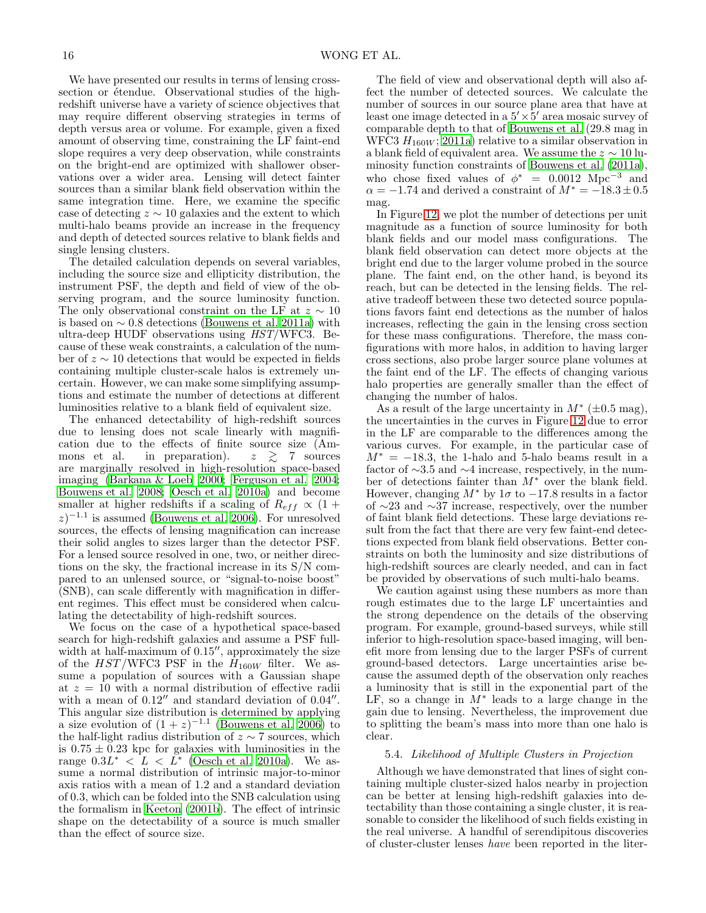We have presented our results in terms of lensing crosssection or étendue. Observational studies of the highredshift universe have a variety of science objectives that may require different observing strategies in terms of depth versus area or volume. For example, given a fixed amount of observing time, constraining the LF faint-end slope requires a very deep observation, while constraints on the bright-end are optimized with shallower observations over a wider area. Lensing will detect fainter sources than a similar blank field observation within the same integration time. Here, we examine the specific case of detecting  $z \sim 10$  galaxies and the extent to which multi-halo beams provide an increase in the frequency and depth of detected sources relative to blank fields and single lensing clusters.

The detailed calculation depends on several variables, including the source size and ellipticity distribution, the instrument PSF, the depth and field of view of the observing program, and the source luminosity function. The only observational constraint on the LF at  $z \sim 10$ is based on  $\sim 0.8$  detections [\(Bouwens et al. 2011a\)](#page-22-4) with ultra-deep HUDF observations using HST/WFC3. Because of these weak constraints, a calculation of the number of z ∼ 10 detections that would be expected in fields containing multiple cluster-scale halos is extremely uncertain. However, we can make some simplifying assumptions and estimate the number of detections at different luminosities relative to a blank field of equivalent size.

The enhanced detectability of high-redshift sources due to lensing does not scale linearly with magnification due to the effects of finite source size (Ammons et al. in preparation).  $z \geq 7$  sources are marginally resolved in high-resolution space-based imaging [\(Barkana & Loeb 2000](#page-22-48); [Ferguson et al. 2004;](#page-22-49) [Bouwens et al. 2008](#page-22-1); [Oesch et al. 2010a\)](#page-23-58) and become smaller at higher redshifts if a scaling of  $R_{eff} \propto (1 +$  $(z)^{-1.1}$  is assumed [\(Bouwens et al. 2006\)](#page-22-50). For unresolved sources, the effects of lensing magnification can increase their solid angles to sizes larger than the detector PSF. For a lensed source resolved in one, two, or neither directions on the sky, the fractional increase in its S/N compared to an unlensed source, or "signal-to-noise boost" (SNB), can scale differently with magnification in different regimes. This effect must be considered when calculating the detectability of high-redshift sources.

We focus on the case of a hypothetical space-based search for high-redshift galaxies and assume a PSF fullwidth at half-maximum of 0.15′′, approximately the size of the  $HST/WFC3$  PSF in the  $H_{160W}$  filter. We assume a population of sources with a Gaussian shape at  $z = 10$  with a normal distribution of effective radii with a mean of  $0.12''$  and standard deviation of  $0.04''$ . This angular size distribution is determined by applying a size evolution of  $(1+z)^{-1.1}$  [\(Bouwens et al. 2006\)](#page-22-50) to the half-light radius distribution of  $z \sim 7$  sources, which is  $0.75 \pm 0.23$  kpc for galaxies with luminosities in the range  $0.3L^* < L < L^*$  [\(Oesch et al. 2010a\)](#page-23-58). We assume a normal distribution of intrinsic major-to-minor axis ratios with a mean of 1.2 and a standard deviation of 0.3, which can be folded into the SNB calculation using the formalism in [Keeton \(2001b\)](#page-22-29). The effect of intrinsic shape on the detectability of a source is much smaller than the effect of source size.

The field of view and observational depth will also affect the number of detected sources. We calculate the number of sources in our source plane area that have at least one image detected in a  $5' \times 5'$  area mosaic survey of comparable depth to that of [Bouwens et al.](#page-22-4) (29.8 mag in WFC3  $H_{160W}$ ; [2011a\)](#page-22-4) relative to a similar observation in a blank field of equivalent area. We assume the  $z \sim 10$  luminosity function constraints of [Bouwens et al. \(2011a\)](#page-22-4), who chose fixed values of  $\phi^* = 0.0012 \text{ Mpc}^{-3}$  and  $\alpha = -1.74$  and derived a constraint of  $M^* = -18.3 \pm 0.5$ mag.

In Figure [12,](#page-16-0) we plot the number of detections per unit magnitude as a function of source luminosity for both blank fields and our model mass configurations. The blank field observation can detect more objects at the bright end due to the larger volume probed in the source plane. The faint end, on the other hand, is beyond its reach, but can be detected in the lensing fields. The relative tradeoff between these two detected source populations favors faint end detections as the number of halos increases, reflecting the gain in the lensing cross section for these mass configurations. Therefore, the mass configurations with more halos, in addition to having larger cross sections, also probe larger source plane volumes at the faint end of the LF. The effects of changing various halo properties are generally smaller than the effect of changing the number of halos.

As a result of the large uncertainty in  $M^*$  ( $\pm 0.5$  mag), the uncertainties in the curves in Figure [12](#page-16-0) due to error in the LF are comparable to the differences among the various curves. For example, in the particular case of  $M^* = -18.3$ , the 1-halo and 5-halo beams result in a factor of ∼3.5 and ∼4 increase, respectively, in the number of detections fainter than  $M^*$  over the blank field. However, changing  $M^*$  by 1 $\sigma$  to  $-17.8$  results in a factor of ∼23 and ∼37 increase, respectively, over the number of faint blank field detections. These large deviations result from the fact that there are very few faint-end detections expected from blank field observations. Better constraints on both the luminosity and size distributions of high-redshift sources are clearly needed, and can in fact be provided by observations of such multi-halo beams.

We caution against using these numbers as more than rough estimates due to the large LF uncertainties and the strong dependence on the details of the observing program. For example, ground-based surveys, while still inferior to high-resolution space-based imaging, will benefit more from lensing due to the larger PSFs of current ground-based detectors. Large uncertainties arise because the assumed depth of the observation only reaches a luminosity that is still in the exponential part of the LF, so a change in  $M^*$  leads to a large change in the gain due to lensing. Nevertheless, the improvement due to splitting the beam's mass into more than one halo is clear.

#### <span id="page-15-0"></span>5.4. Likelihood of Multiple Clusters in Projection

Although we have demonstrated that lines of sight containing multiple cluster-sized halos nearby in projection can be better at lensing high-redshift galaxies into detectability than those containing a single cluster, it is reasonable to consider the likelihood of such fields existing in the real universe. A handful of serendipitous discoveries of cluster-cluster lenses have been reported in the liter-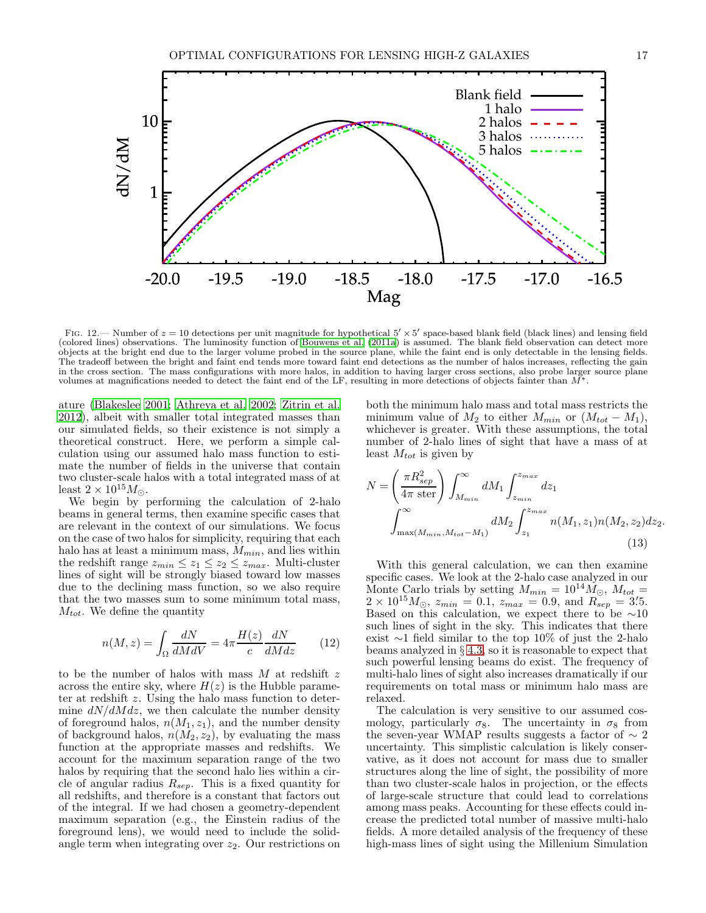

<span id="page-16-0"></span>FIG. 12.— Number of  $z = 10$  detections per unit magnitude for hypothetical  $5' \times 5'$  space-based blank field (black lines) and lensing field (colored lines) observations. The luminosity function of [Bouwens et al. \(2011a](#page-22-4)) is assumed. The blank field observation can detect more objects at the bright end due to the larger volume probed in the source plane, while the faint end is only detectable in the lensing fields. The tradeoff between the bright and faint end tends more toward faint end detections as the number of halos increases, reflecting the gain in the cross section. The mass configurations with more halos, in addition to having larger cross sections, also probe larger source plane volumes at magnifications needed to detect the faint end of the LF, resulting in more detections of objects fainter than  $M^*$ .

ature [\(Blakeslee 2001;](#page-22-24) [Athreya et al. 2002;](#page-22-25) [Zitrin et al.](#page-23-34) [2012\)](#page-23-34), albeit with smaller total integrated masses than our simulated fields, so their existence is not simply a theoretical construct. Here, we perform a simple calculation using our assumed halo mass function to estimate the number of fields in the universe that contain two cluster-scale halos with a total integrated mass of at least  $2 \times 10^{15} M_{\odot}$ .

We begin by performing the calculation of 2-halo beams in general terms, then examine specific cases that are relevant in the context of our simulations. We focus on the case of two halos for simplicity, requiring that each halo has at least a minimum mass,  $M_{min}$ , and lies within the redshift range  $z_{min} \leq z_1 \leq z_2 \leq z_{max}$ . Multi-cluster lines of sight will be strongly biased toward low masses due to the declining mass function, so we also require that the two masses sum to some minimum total mass,  $M_{tot}$ . We define the quantity

$$
n(M, z) = \int_{\Omega} \frac{dN}{dM dV} = 4\pi \frac{H(z)}{c} \frac{dN}{dM dz}
$$
 (12)

to be the number of halos with mass  $M$  at redshift z across the entire sky, where  $H(z)$  is the Hubble parameter at redshift z. Using the halo mass function to determine  $dN/dM dz$ , we then calculate the number density of foreground halos,  $n(M_1, z_1)$ , and the number density of background halos,  $n(M_2, z_2)$ , by evaluating the mass function at the appropriate masses and redshifts. We account for the maximum separation range of the two halos by requiring that the second halo lies within a circle of angular radius  $R_{sep}$ . This is a fixed quantity for all redshifts, and therefore is a constant that factors out of the integral. If we had chosen a geometry-dependent maximum separation (e.g., the Einstein radius of the foreground lens), we would need to include the solidangle term when integrating over  $z_2$ . Our restrictions on

both the minimum halo mass and total mass restricts the minimum value of  $M_2$  to either  $M_{min}$  or  $(M_{tot} - M_1)$ , whichever is greater. With these assumptions, the total number of 2-halo lines of sight that have a mass of at least  $M_{tot}$  is given by

$$
N = \left(\frac{\pi R_{sep}^2}{4\pi \text{ ster}}\right) \int_{M_{min}}^{\infty} dM_1 \int_{z_{min}}^{z_{max}} dz_1
$$

$$
\int_{\max(M_{min}, M_{tot} - M_1)}^{\infty} dM_2 \int_{z_1}^{z_{max}} n(M_1, z_1) n(M_2, z_2) dz_2.
$$
(13)

With this general calculation, we can then examine specific cases. We look at the 2-halo case analyzed in our Monte Carlo trials by setting  $M_{min} = 10^{14} \dot{M}_{\odot}$ ,  $M_{tot} =$  $2 \times 10^{15} M_{\odot}$ ,  $z_{min} = 0.1$ ,  $z_{max} = 0.9$ , and  $R_{sep} = 3.5$ . Based on this calculation, we expect there to be  $~\sim 10$ such lines of sight in the sky. This indicates that there exist ∼1 field similar to the top 10% of just the 2-halo beams analyzed in § [4.3,](#page-11-1) so it is reasonable to expect that such powerful lensing beams do exist. The frequency of multi-halo lines of sight also increases dramatically if our requirements on total mass or minimum halo mass are relaxed.

The calculation is very sensitive to our assumed cosmology, particularly  $\sigma_8$ . The uncertainty in  $\sigma_8$  from the seven-year WMAP results suggests a factor of  $\sim 2$ uncertainty. This simplistic calculation is likely conservative, as it does not account for mass due to smaller structures along the line of sight, the possibility of more than two cluster-scale halos in projection, or the effects of large-scale structure that could lead to correlations among mass peaks. Accounting for these effects could increase the predicted total number of massive multi-halo fields. A more detailed analysis of the frequency of these high-mass lines of sight using the Millenium Simulation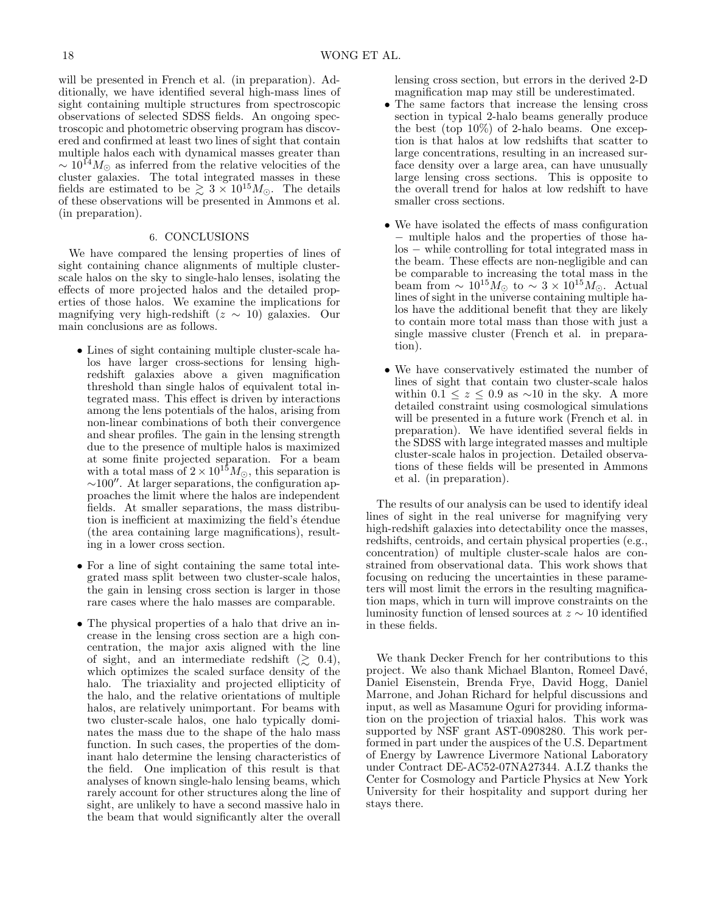will be presented in French et al. (in preparation). Additionally, we have identified several high-mass lines of sight containing multiple structures from spectroscopic observations of selected SDSS fields. An ongoing spectroscopic and photometric observing program has discovered and confirmed at least two lines of sight that contain multiple halos each with dynamical masses greater than  $\sim 10^{14} M_{\odot}$  as inferred from the relative velocities of the cluster galaxies. The total integrated masses in these fields are estimated to be  $\gtrsim 3 \times 10^{15} M_{\odot}$ . The details of these observations will be presented in Ammons et al. (in preparation).

#### 6. CONCLUSIONS

<span id="page-17-0"></span>We have compared the lensing properties of lines of sight containing chance alignments of multiple clusterscale halos on the sky to single-halo lenses, isolating the effects of more projected halos and the detailed properties of those halos. We examine the implications for magnifying very high-redshift  $(z \sim 10)$  galaxies. Our main conclusions are as follows.

- Lines of sight containing multiple cluster-scale halos have larger cross-sections for lensing highredshift galaxies above a given magnification threshold than single halos of equivalent total integrated mass. This effect is driven by interactions among the lens potentials of the halos, arising from non-linear combinations of both their convergence and shear profiles. The gain in the lensing strength due to the presence of multiple halos is maximized at some finite projected separation. For a beam with a total mass of  $2 \times 10^{15} M_{\odot}$ , this separation is  $\sim$ 100″. At larger separations, the configuration approaches the limit where the halos are independent fields. At smaller separations, the mass distribution is inefficient at maximizing the field's étendue (the area containing large magnifications), resulting in a lower cross section.
- For a line of sight containing the same total integrated mass split between two cluster-scale halos, the gain in lensing cross section is larger in those rare cases where the halo masses are comparable.
- The physical properties of a halo that drive an increase in the lensing cross section are a high concentration, the major axis aligned with the line of sight, and an intermediate redshift  $(\gtrsim 0.4)$ , which optimizes the scaled surface density of the halo. The triaxiality and projected ellipticity of the halo, and the relative orientations of multiple halos, are relatively unimportant. For beams with two cluster-scale halos, one halo typically dominates the mass due to the shape of the halo mass function. In such cases, the properties of the dominant halo determine the lensing characteristics of the field. One implication of this result is that analyses of known single-halo lensing beams, which rarely account for other structures along the line of sight, are unlikely to have a second massive halo in the beam that would significantly alter the overall

lensing cross section, but errors in the derived 2-D magnification map may still be underestimated.

- The same factors that increase the lensing cross section in typical 2-halo beams generally produce the best (top 10%) of 2-halo beams. One exception is that halos at low redshifts that scatter to large concentrations, resulting in an increased surface density over a large area, can have unusually large lensing cross sections. This is opposite to the overall trend for halos at low redshift to have smaller cross sections.
- We have isolated the effects of mass configuration − multiple halos and the properties of those halos − while controlling for total integrated mass in the beam. These effects are non-negligible and can be comparable to increasing the total mass in the beam from  $\sim 10^{15} M_{\odot}$  to  $\sim 3 \times 10^{15} M_{\odot}$ . Actual lines of sight in the universe containing multiple halos have the additional benefit that they are likely to contain more total mass than those with just a single massive cluster (French et al. in preparation).
- We have conservatively estimated the number of lines of sight that contain two cluster-scale halos within  $0.1 \leq z \leq 0.9$  as ~10 in the sky. A more detailed constraint using cosmological simulations will be presented in a future work (French et al. in preparation). We have identified several fields in the SDSS with large integrated masses and multiple cluster-scale halos in projection. Detailed observations of these fields will be presented in Ammons et al. (in preparation).

The results of our analysis can be used to identify ideal lines of sight in the real universe for magnifying very high-redshift galaxies into detectability once the masses, redshifts, centroids, and certain physical properties (e.g., concentration) of multiple cluster-scale halos are constrained from observational data. This work shows that focusing on reducing the uncertainties in these parameters will most limit the errors in the resulting magnification maps, which in turn will improve constraints on the luminosity function of lensed sources at  $z \sim 10$  identified in these fields.

We thank Decker French for her contributions to this project. We also thank Michael Blanton, Romeel Davé, Daniel Eisenstein, Brenda Frye, David Hogg, Daniel Marrone, and Johan Richard for helpful discussions and input, as well as Masamune Oguri for providing information on the projection of triaxial halos. This work was supported by NSF grant AST-0908280. This work performed in part under the auspices of the U.S. Department of Energy by Lawrence Livermore National Laboratory under Contract DE-AC52-07NA27344. A.I.Z thanks the Center for Cosmology and Particle Physics at New York University for their hospitality and support during her stays there.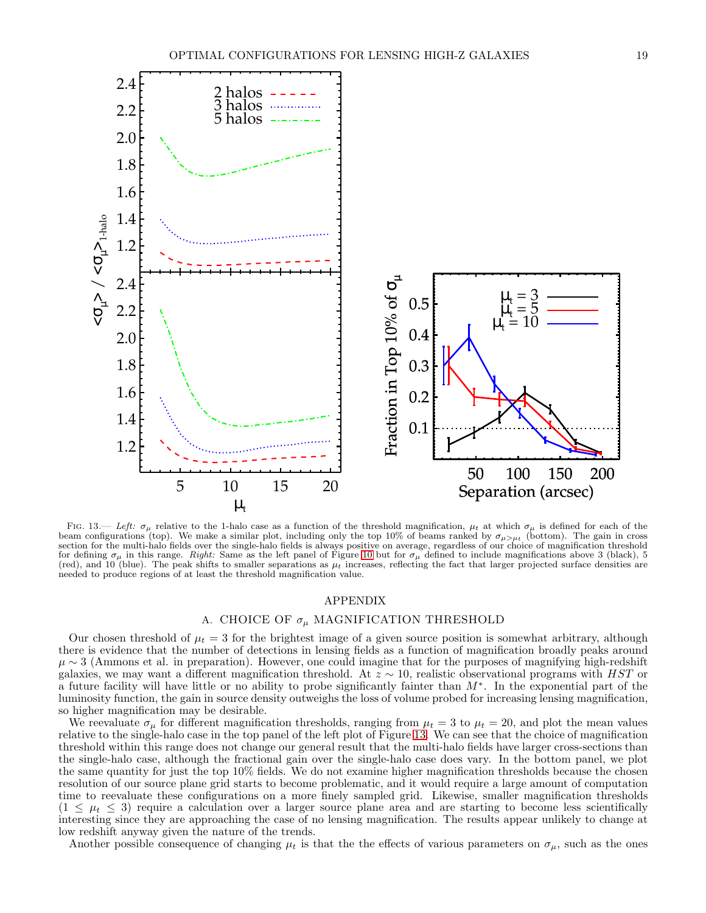

<span id="page-18-1"></span>FIG. 13.— Left:  $\sigma_{\mu}$  relative to the 1-halo case as a function of the threshold magnification,  $\mu_t$  at which  $\sigma_{\mu}$  is defined for each of the beam configurations (top). We make a similar plot, including only the top 10% of beams ranked by  $\sigma_{\mu>\mu_t}$  (bottom). The gain in cross section for the multi-halo fields over the single-halo fields is always positive on average, regardless of our choice of magnification threshold for defining  $\sigma_{\mu}$  in this range. Right: Same as the left panel of Figure [10](#page-12-0) but for  $\sigma_{\mu}$  defined to include magnifications above 3 (black), 5 (red), and  $10$  (blue). The peak shifts to smaller separations as  $\mu_t$  increases, reflecting the fact that larger projected surface densities are needed to produce regions of at least the threshold magnification value.

## APPENDIX

# A. CHOICE OF  $\sigma_{\mu}$  MAGNIFICATION THRESHOLD

<span id="page-18-0"></span>Our chosen threshold of  $\mu_t = 3$  for the brightest image of a given source position is somewhat arbitrary, although there is evidence that the number of detections in lensing fields as a function of magnification broadly peaks around  $\mu \sim 3$  (Ammons et al. in preparation). However, one could imagine that for the purposes of magnifying high-redshift galaxies, we may want a different magnification threshold. At  $z \sim 10$ , realistic observational programs with HST or a future facility will have little or no ability to probe significantly fainter than M<sup>∗</sup> . In the exponential part of the luminosity function, the gain in source density outweighs the loss of volume probed for increasing lensing magnification, so higher magnification may be desirable.

We reevaluate  $\sigma_{\mu}$  for different magnification thresholds, ranging from  $\mu_t = 3$  to  $\mu_t = 20$ , and plot the mean values relative to the single-halo case in the top panel of the left plot of Figure [13.](#page-18-1) We can see that the choice of magnification threshold within this range does not change our general result that the multi-halo fields have larger cross-sections than the single-halo case, although the fractional gain over the single-halo case does vary. In the bottom panel, we plot the same quantity for just the top 10% fields. We do not examine higher magnification thresholds because the chosen resolution of our source plane grid starts to become problematic, and it would require a large amount of computation time to reevaluate these configurations on a more finely sampled grid. Likewise, smaller magnification thresholds  $(1 \leq \mu_t \leq 3)$  require a calculation over a larger source plane area and are starting to become less scientifically interesting since they are approaching the case of no lensing magnification. The results appear unlikely to change at low redshift anyway given the nature of the trends.

Another possible consequence of changing  $\mu_t$  is that the the effects of various parameters on  $\sigma_\mu$ , such as the ones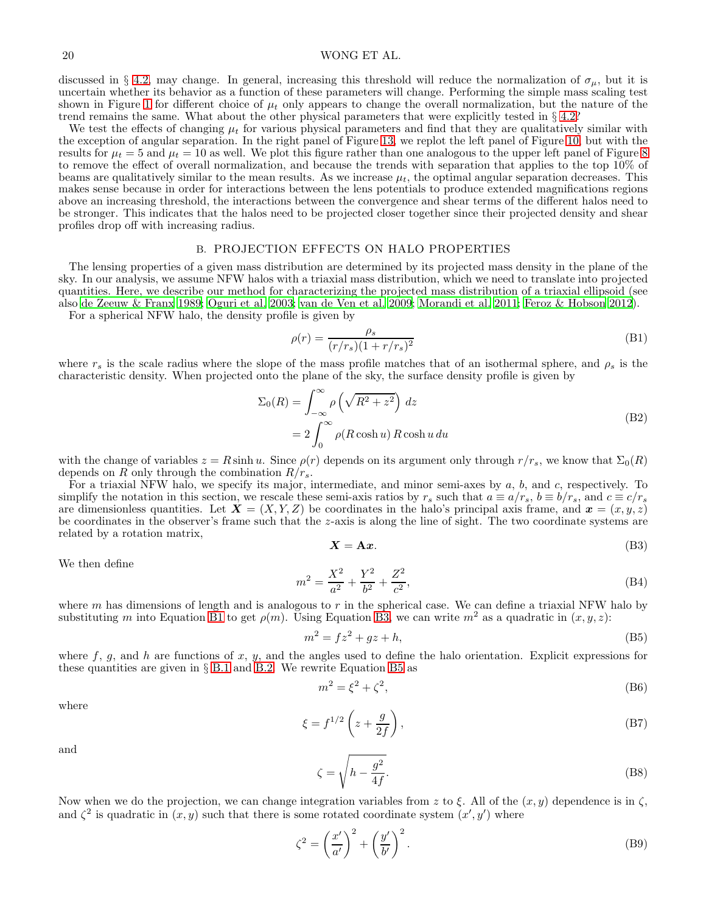# 20 WONG ET AL.

discussed in § [4.2,](#page-9-2) may change. In general, increasing this threshold will reduce the normalization of  $\sigma_{\mu}$ , but it is uncertain whether its behavior as a function of these parameters will change. Performing the simple mass scaling test shown in Figure [1](#page-3-1) for different choice of  $\mu_t$  only appears to change the overall normalization, but the nature of the trend remains the same. What about the other physical parameters that were explicitly tested in  $\S 4.2$ ?

We test the effects of changing  $\mu_t$  for various physical parameters and find that they are qualitatively similar with the exception of angular separation. In the right panel of Figure [13,](#page-18-1) we replot the left panel of Figure [10,](#page-12-0) but with the results for  $\mu_t = 5$  and  $\mu_t = 10$  as well. We plot this figure rather than one analogous to the upper left panel of Figure [8](#page-10-0) to remove the effect of overall normalization, and because the trends with separation that applies to the top 10% of beams are qualitatively similar to the mean results. As we increase  $\mu_t$ , the optimal angular separation decreases. This makes sense because in order for interactions between the lens potentials to produce extended magnifications regions above an increasing threshold, the interactions between the convergence and shear terms of the different halos need to be stronger. This indicates that the halos need to be projected closer together since their projected density and shear profiles drop off with increasing radius.

#### B. PROJECTION EFFECTS ON HALO PROPERTIES

<span id="page-19-0"></span>The lensing properties of a given mass distribution are determined by its projected mass density in the plane of the sky. In our analysis, we assume NFW halos with a triaxial mass distribution, which we need to translate into projected quantities. Here, we describe our method for characterizing the projected mass distribution of a triaxial ellipsoid (see also [de Zeeuw & Franx 1989;](#page-22-51) [Oguri et al. 2003](#page-23-37); [van de Ven et al. 2009;](#page-23-59) [Morandi et al. 2011;](#page-23-60) [Feroz & Hobson 2012\)](#page-22-52).

For a spherical NFW halo, the density profile is given by

<span id="page-19-1"></span>
$$
\rho(r) = \frac{\rho_s}{(r/r_s)(1+r/r_s)^2} \tag{B1}
$$

where  $r_s$  is the scale radius where the slope of the mass profile matches that of an isothermal sphere, and  $\rho_s$  is the characteristic density. When projected onto the plane of the sky, the surface density profile is given by

$$
\Sigma_0(R) = \int_{-\infty}^{\infty} \rho \left(\sqrt{R^2 + z^2}\right) dz
$$
  
=  $2 \int_{0}^{\infty} \rho (R \cosh u) R \cosh u du$  (B2)

<span id="page-19-6"></span>with the change of variables  $z = R \sinh u$ . Since  $\rho(r)$  depends on its argument only through  $r/r_s$ , we know that  $\Sigma_0(R)$ depends on R only through the combination  $R/r_s$ .

For a triaxial NFW halo, we specify its major, intermediate, and minor semi-axes by  $a, b$ , and  $c$ , respectively. To simplify the notation in this section, we rescale these semi-axis ratios by  $r_s$  such that  $a \equiv a/r_s$ ,  $b \equiv b/r_s$ , and  $c \equiv c/r_s$ are dimensionless quantities. Let  $\mathbf{X} = (X, Y, Z)$  be coordinates in the halo's principal axis frame, and  $\mathbf{x} = (x, y, z)$ be coordinates in the observer's frame such that the z-axis is along the line of sight. The two coordinate systems are related by a rotation matrix,

<span id="page-19-2"></span>
$$
X = Ax.\tag{B3}
$$

We then define

$$
m^2 = \frac{X^2}{a^2} + \frac{Y^2}{b^2} + \frac{Z^2}{c^2},
$$
\n(B4)

where m has dimensions of length and is analogous to r in the spherical case. We can define a triaxial NFW halo by substituting m into Equation [B1](#page-19-1) to get  $\rho(m)$ . Using Equation [B3,](#page-19-2) we can write  $m^2$  as a quadratic in  $(x, y, z)$ :

<span id="page-19-3"></span>
$$
m^2 = fz^2 + gz + h,\tag{B5}
$$

where f, g, and h are functions of x, y, and the angles used to define the halo orientation. Explicit expressions for these quantities are given in § [B.1](#page-20-0) and [B.2.](#page-21-0) We rewrite Equation [B5](#page-19-3) as

$$
m^2 = \xi^2 + \zeta^2,\tag{B6}
$$

where

$$
\xi = f^{1/2} \left( z + \frac{g}{2f} \right),\tag{B7}
$$

and

<span id="page-19-4"></span>
$$
\zeta = \sqrt{h - \frac{g^2}{4f}}.\tag{B8}
$$

Now when we do the projection, we can change integration variables from z to  $\xi$ . All of the  $(x, y)$  dependence is in  $\zeta$ , and  $\zeta^2$  is quadratic in  $(x, y)$  such that there is some rotated coordinate system  $(x', y')$  where

<span id="page-19-5"></span>
$$
\zeta^2 = \left(\frac{x'}{a'}\right)^2 + \left(\frac{y'}{b'}\right)^2.
$$
\n(B9)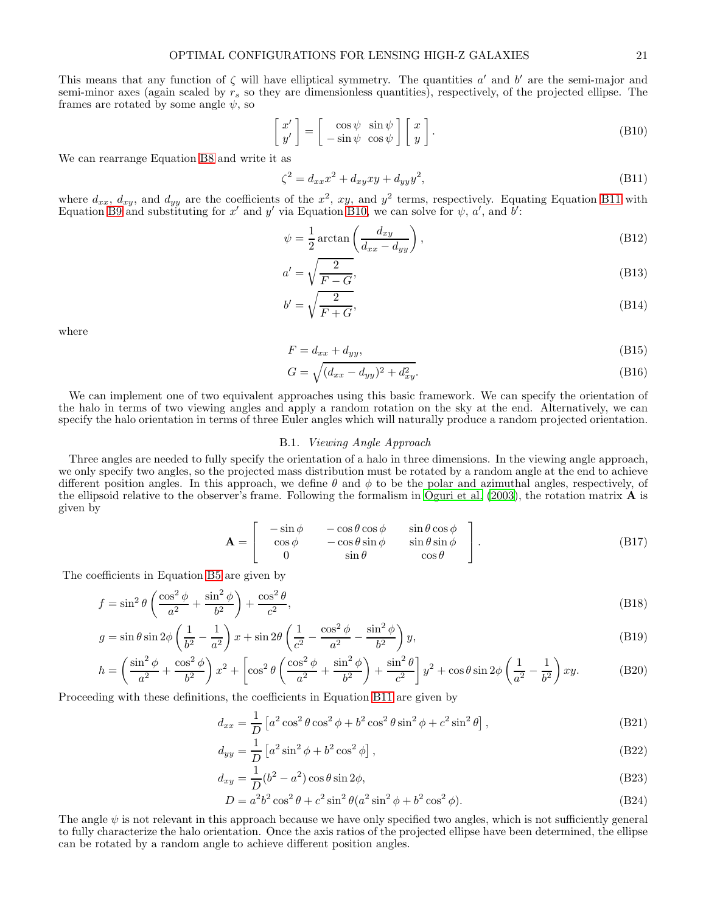This means that any function of  $\zeta$  will have elliptical symmetry. The quantities  $a'$  and  $b'$  are the semi-major and semi-minor axes (again scaled by  $r_s$  so they are dimensionless quantities), respectively, of the projected ellipse. The frames are rotated by some angle  $\psi$ , so

<span id="page-20-2"></span>
$$
\begin{bmatrix} x' \\ y' \end{bmatrix} = \begin{bmatrix} \cos \psi & \sin \psi \\ -\sin \psi & \cos \psi \end{bmatrix} \begin{bmatrix} x \\ y \end{bmatrix}.
$$
 (B10)

We can rearrange Equation [B8](#page-19-4) and write it as

<span id="page-20-1"></span>
$$
\zeta^2 = d_{xx}x^2 + d_{xy}xy + d_{yy}y^2,
$$
\n(B11)

where  $d_{xx}$ ,  $d_{xy}$ , and  $d_{yy}$  are the coefficients of the  $x^2$ , xy, and  $y^2$  terms, respectively. Equating Equation [B11](#page-20-1) with Equation [B9](#page-19-5) and substituting for x' and y' via Equation [B10,](#page-20-2) we can solve for  $\psi$ , a', and  $\vec{b}'$ :

<span id="page-20-3"></span>
$$
\psi = \frac{1}{2} \arctan\left(\frac{d_{xy}}{d_{xx} - d_{yy}}\right),\tag{B12}
$$

$$
a' = \sqrt{\frac{2}{F - G}},\tag{B13}
$$

$$
b' = \sqrt{\frac{2}{F+G}},\tag{B14}
$$

where

$$
F = d_{xx} + d_{yy},\tag{B15}
$$

$$
G = \sqrt{(d_{xx} - d_{yy})^2 + d_{xy}^2}.
$$
\n(B16)

We can implement one of two equivalent approaches using this basic framework. We can specify the orientation of the halo in terms of two viewing angles and apply a random rotation on the sky at the end. Alternatively, we can specify the halo orientation in terms of three Euler angles which will naturally produce a random projected orientation.

### B.1. Viewing Angle Approach

<span id="page-20-0"></span>Three angles are needed to fully specify the orientation of a halo in three dimensions. In the viewing angle approach, we only specify two angles, so the projected mass distribution must be rotated by a random angle at the end to achieve different position angles. In this approach, we define  $\theta$  and  $\phi$  to be the polar and azimuthal angles, respectively, of the ellipsoid relative to the observer's frame. Following the formalism in [Oguri et al. \(2003\)](#page-23-37), the rotation matrix  $\bf{A}$  is given by

$$
\mathbf{A} = \begin{bmatrix} -\sin\phi & -\cos\theta\cos\phi & \sin\theta\cos\phi \\ \cos\phi & -\cos\theta\sin\phi & \sin\theta\sin\phi \\ 0 & \sin\theta & \cos\theta \end{bmatrix}.
$$
 (B17)

The coefficients in Equation [B5](#page-19-3) are given by

$$
f = \sin^2 \theta \left( \frac{\cos^2 \phi}{a^2} + \frac{\sin^2 \phi}{b^2} \right) + \frac{\cos^2 \theta}{c^2},\tag{B18}
$$

$$
g = \sin\theta\sin 2\phi \left(\frac{1}{b^2} - \frac{1}{a^2}\right)x + \sin 2\theta \left(\frac{1}{c^2} - \frac{\cos^2\phi}{a^2} - \frac{\sin^2\phi}{b^2}\right)y,
$$
\n(B19)

$$
h = \left(\frac{\sin^2 \phi}{a^2} + \frac{\cos^2 \phi}{b^2}\right)x^2 + \left[\cos^2 \theta \left(\frac{\cos^2 \phi}{a^2} + \frac{\sin^2 \phi}{b^2}\right) + \frac{\sin^2 \theta}{c^2}\right]y^2 + \cos \theta \sin 2\phi \left(\frac{1}{a^2} - \frac{1}{b^2}\right)xy. \tag{B20}
$$

Proceeding with these definitions, the coefficients in Equation [B11](#page-20-1) are given by

$$
d_{xx} = \frac{1}{D} \left[ a^2 \cos^2 \theta \cos^2 \phi + b^2 \cos^2 \theta \sin^2 \phi + c^2 \sin^2 \theta \right],
$$
 (B21)

$$
d_{yy} = \frac{1}{D} \left[ a^2 \sin^2 \phi + b^2 \cos^2 \phi \right],\tag{B22}
$$

$$
d_{xy} = \frac{1}{D}(b^2 - a^2)\cos\theta\sin 2\phi,
$$
\n(B23)

$$
D = a^2 b^2 \cos^2 \theta + c^2 \sin^2 \theta (a^2 \sin^2 \phi + b^2 \cos^2 \phi).
$$
 (B24)

The angle  $\psi$  is not relevant in this approach because we have only specified two angles, which is not sufficiently general to fully characterize the halo orientation. Once the axis ratios of the projected ellipse have been determined, the ellipse can be rotated by a random angle to achieve different position angles.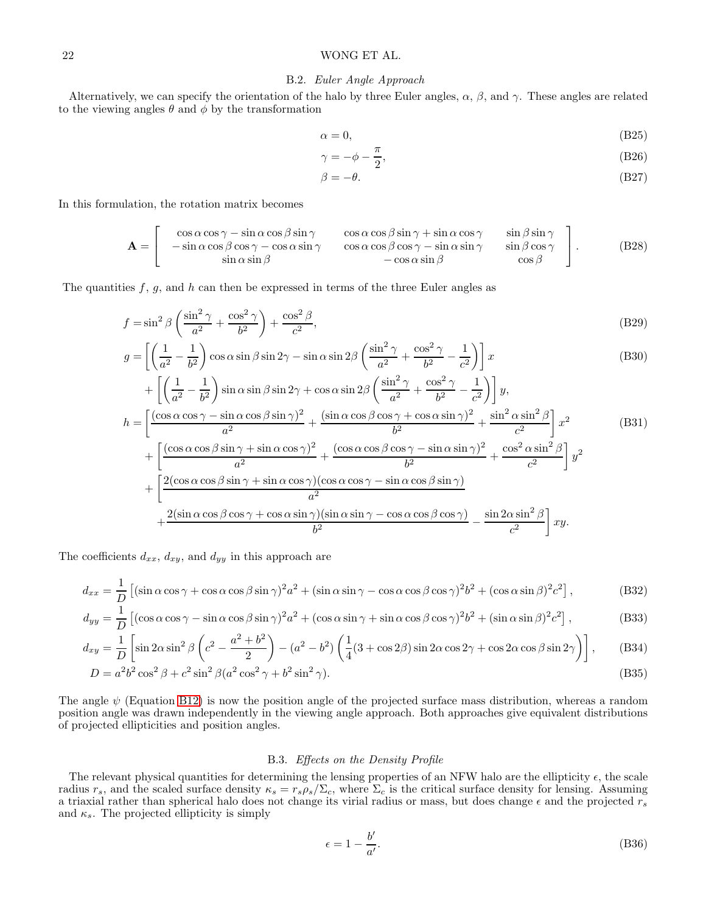# <span id="page-21-0"></span>22 WONG ET AL.

## B.2. Euler Angle Approach

Alternatively, we can specify the orientation of the halo by three Euler angles,  $\alpha$ ,  $\beta$ , and  $\gamma$ . These angles are related to the viewing angles  $\theta$  and  $\phi$  by the transformation

$$
\alpha = 0,\tag{B25}
$$

$$
\gamma = -\phi - \frac{\pi}{2},\tag{B26}
$$

$$
\beta = -\theta. \tag{B27}
$$

In this formulation, the rotation matrix becomes

$$
\mathbf{A} = \begin{bmatrix} \cos\alpha\cos\gamma - \sin\alpha\cos\beta\sin\gamma & \cos\alpha\cos\beta\sin\gamma + \sin\alpha\cos\gamma & \sin\beta\sin\gamma \\ -\sin\alpha\cos\beta\cos\gamma - \cos\alpha\sin\gamma & \cos\alpha\cos\beta\cos\gamma - \sin\alpha\sin\gamma & \sin\beta\cos\gamma \\ \sin\alpha\sin\beta & -\cos\alpha\sin\beta & \cos\beta \end{bmatrix}.
$$
 (B28)

The quantities  $f, g$ , and  $h$  can then be expressed in terms of the three Euler angles as

$$
f = \sin^2 \beta \left( \frac{\sin^2 \gamma}{a^2} + \frac{\cos^2 \gamma}{b^2} \right) + \frac{\cos^2 \beta}{c^2},
$$
\n(B29)

$$
g = \left[ \left( \frac{1}{a^2} - \frac{1}{b^2} \right) \cos \alpha \sin \beta \sin 2\gamma - \sin \alpha \sin 2\beta \left( \frac{\sin^2 \gamma}{a^2} + \frac{\cos^2 \gamma}{b^2} - \frac{1}{c^2} \right) \right] x
$$
(B30)

$$
+ \left[ \left( \frac{1}{a^2} - \frac{1}{b^2} \right) \sin \alpha \sin \beta \sin 2\gamma + \cos \alpha \sin 2\beta \left( \frac{\sin^2 \gamma}{a^2} + \frac{\cos^2 \gamma}{b^2} - \frac{1}{c^2} \right) \right] y,
$$
  
\n
$$
h = \left[ \frac{(\cos \alpha \cos \gamma - \sin \alpha \cos \beta \sin \gamma)^2}{a^2} + \frac{(\sin \alpha \cos \beta \cos \gamma + \cos \alpha \sin \gamma)^2}{b^2} + \frac{\sin^2 \alpha \sin^2 \beta}{c^2} \right] x^2
$$
(B31)  
\n
$$
+ \left[ \frac{(\cos \alpha \cos \beta \sin \gamma + \sin \alpha \cos \gamma)^2}{a^2} + \frac{(\cos \alpha \cos \beta \cos \gamma - \sin \alpha \sin \gamma)^2}{b^2} + \frac{\cos^2 \alpha \sin^2 \beta}{c^2} \right] y^2
$$
  
\n
$$
+ \left[ \frac{2(\cos \alpha \cos \beta \sin \gamma + \sin \alpha \cos \gamma)(\cos \alpha \cos \gamma - \sin \alpha \cos \beta \sin \gamma)}{a^2} + \frac{2(\sin \alpha \cos \beta \cos \gamma + \cos \alpha \sin \gamma)(\sin \alpha \sin \gamma - \cos \alpha \cos \beta \cos \gamma)}{b^2} - \frac{\sin 2\alpha \sin^2 \beta}{c^2} \right] xy.
$$

The coefficients  $d_{xx}$ ,  $d_{xy}$ , and  $d_{yy}$  in this approach are

$$
d_{xx} = \frac{1}{D} \left[ (\sin \alpha \cos \gamma + \cos \alpha \cos \beta \sin \gamma)^2 a^2 + (\sin \alpha \sin \gamma - \cos \alpha \cos \beta \cos \gamma)^2 b^2 + (\cos \alpha \sin \beta)^2 c^2 \right],
$$
(B32)

$$
d_{yy} = \frac{1}{D} \left[ (\cos \alpha \cos \gamma - \sin \alpha \cos \beta \sin \gamma)^2 a^2 + (\cos \alpha \sin \gamma + \sin \alpha \cos \beta \cos \gamma)^2 b^2 + (\sin \alpha \sin \beta)^2 c^2 \right],
$$
(B33)

$$
d_{xy} = \frac{1}{D} \left[ \sin 2\alpha \sin^2 \beta \left( c^2 - \frac{a^2 + b^2}{2} \right) - (a^2 - b^2) \left( \frac{1}{4} (3 + \cos 2\beta) \sin 2\alpha \cos 2\gamma + \cos 2\alpha \cos \beta \sin 2\gamma \right) \right],
$$
 (B34)

$$
D = a^2 b^2 \cos^2 \beta + c^2 \sin^2 \beta (a^2 \cos^2 \gamma + b^2 \sin^2 \gamma).
$$
 (B35)

The angle  $\psi$  (Equation [B12\)](#page-20-3) is now the position angle of the projected surface mass distribution, whereas a random position angle was drawn independently in the viewing angle approach. Both approaches give equivalent distributions of projected ellipticities and position angles.

# B.3. Effects on the Density Profile

The relevant physical quantities for determining the lensing properties of an NFW halo are the ellipticity  $\epsilon$ , the scale radius  $r_s$ , and the scaled surface density  $\kappa_s = r_s \rho_s / \Sigma_c$ , where  $\Sigma_c$  is the critical surface density for lensing. Assuming a triaxial rather than spherical halo does not change its virial radius or mass, but does change  $\epsilon$  and the projected  $r_s$ and  $\kappa_s$ . The projected ellipticity is simply

$$
\epsilon = 1 - \frac{b'}{a'}.\tag{B36}
$$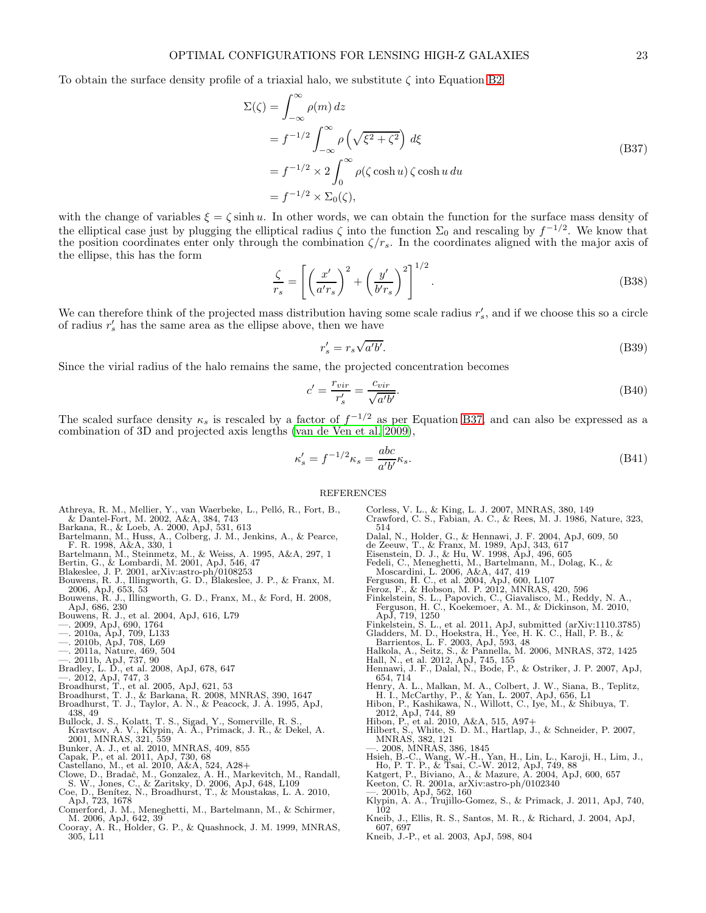<span id="page-22-53"></span>To obtain the surface density profile of a triaxial halo, we substitute  $\zeta$  into Equation [B2:](#page-19-6)

$$
\Sigma(\zeta) = \int_{-\infty}^{\infty} \rho(m) dz
$$
  
=  $f^{-1/2} \int_{-\infty}^{\infty} \rho \left(\sqrt{\xi^2 + \zeta^2}\right) d\xi$   
=  $f^{-1/2} \times 2 \int_{0}^{\infty} \rho(\zeta \cosh u) \zeta \cosh u du$   
=  $f^{-1/2} \times \Sigma_0(\zeta),$  (B37)

with the change of variables  $\xi = \zeta \sinh u$ . In other words, we can obtain the function for the surface mass density of the elliptical case just by plugging the elliptical radius  $\zeta$  into the function  $\Sigma_0$  and rescaling by  $f^{-1/2}$ . We know that the position coordinates enter only through the combination  $\zeta/r_s$ . In the coordinates aligned with the major axis of the ellipse, this has the form

$$
\frac{\zeta}{r_s} = \left[ \left( \frac{x'}{a'r_s} \right)^2 + \left( \frac{y'}{b'r_s} \right)^2 \right]^{1/2}.
$$
\n(B38)

We can therefore think of the projected mass distribution having some scale radius  $r'_s$ , and if we choose this so a circle of radius  $r'_s$  has the same area as the ellipse above, then we have

$$
r_s' = r_s \sqrt{a'b'}.\tag{B39}
$$

Since the virial radius of the halo remains the same, the projected concentration becomes

$$
c' = \frac{r_{vir}}{r'_s} = \frac{c_{vir}}{\sqrt{a'b'}}.\tag{B40}
$$

The scaled surface density  $\kappa_s$  is rescaled by a factor of  $f^{-1/2}$  as per Equation [B37,](#page-22-53) and can also be expressed as a combination of 3D and projected axis lengths [\(van de Ven et al. 2009\)](#page-23-59),

$$
\kappa_s' = f^{-1/2}\kappa_s = \frac{abc}{a'b'}\kappa_s.
$$
\n(B41)

#### REFERENCES

- <span id="page-22-25"></span>Athreya, R. M., Mellier, Y., van Waerbeke, L., Pelló, R., Fort, B.,
- <span id="page-22-48"></span>& Dantel-Fort, M. 2002, A&A, 384, 743 Barkana, R., & Loeb, A. 2000, ApJ, 531, 613 Bartelmann, M., Huss, A., Colberg, J. M., Jenkins, A., & Pearce, F. R. 1998, A&A, 330, 1
- <span id="page-22-34"></span>
- <span id="page-22-27"></span>Bartelmann, M., Steinmetz, M., & Weiss, A. 1995, A&A, 297, 1 Bertin, G., & Lombardi, M. 2001, ApJ, 546, 47
- <span id="page-22-24"></span><span id="page-22-22"></span>Blakeslee, J. P. 2001, arXiv:astro-ph/0108253
- <span id="page-22-50"></span>Bouwens, R. J., Illingworth, G. D., Blakeslee, J. P., & Franx, M. 2006, ApJ, 653, 53 Bouwens, R. J., Illingworth, G. D., Franx, M., & Ford, H. 2008, ApJ, 686, 230
- <span id="page-22-1"></span>
- <span id="page-22-0"></span>Bouwens, R. J., et al. 2004, ApJ, 616, L79 —. 2009, ApJ, 690, 1764 —. 2010a, ApJ, 709, L133 —. 2010b, ApJ, 708, L69 —. 2011a, Nature, 469, 504
- <span id="page-22-19"></span>
- <span id="page-22-2"></span>
- <span id="page-22-3"></span>
- <span id="page-22-4"></span>
- <span id="page-22-16"></span>
- <span id="page-22-5"></span>—. 2011b, ApJ, 737, 90 Bradley, L. D., et al. 2008, ApJ, 678, 647 —. 2012, ApJ, 747, 3 Broadhurst, T., et al. 2005, ApJ, 621, 53
- <span id="page-22-17"></span>
- <span id="page-22-42"></span>
- <span id="page-22-41"></span>Broadhurst, T. J., & Barkana, R. 2008, MNRAS, 390, 1647 Broadhurst, T. J., Taylor, A. N., & Peacock, J. A. 1995, ApJ,
- <span id="page-22-47"></span><span id="page-22-39"></span>438, 49 Bullock, J. S., Kolatt, T. S., Sigad, Y., Somerville, R. S., Kravtsov, A. V., Klypin, A. A., Primack, J. R., & Dekel, A. 2001, MNRAS, 321, 559
- 
- 
- <span id="page-22-9"></span><span id="page-22-8"></span>
- <span id="page-22-7"></span>Bunker, A. J., et al. 2010, MNRAS, 409, 855<br>Capak, P., et al. 2011, ApJ, 730, 68<br>Castellano, M., et al. 2010, A&A, 524, A28+<br>Clowe, D., Bradač, M., Gonzalez, A. H., Markevitch, M., Randall,<br>S. W., Jones, C., & Zaritsky, D.
- <span id="page-22-46"></span><span id="page-22-44"></span>
- <span id="page-22-33"></span>M. 2006, ApJ, 642, 39
- <span id="page-22-23"></span>Cooray, A. R., Holder, G. P., & Quashnock, J. M. 1999, MNRAS, 305, L11
- <span id="page-22-40"></span><span id="page-22-21"></span>Corless, V. L., & King, L. J. 2007, MNRAS, 380, 149 Crawford, C. S., Fabian, A. C., & Rees, M. J. 1986, Nature, 323, 514
- 
- <span id="page-22-51"></span><span id="page-22-26"></span>
- <span id="page-22-37"></span>
- Dalal, N., Holder, G., & Hennawi, J. F. 2004, ApJ, 609, 50<br>de Zeeuw, T., & Franx, M. 1989, ApJ, 343, 617<br>Eisenstein, D. J., & Hu, W. 1998, ApJ, 496, 605<br>Fedeli, C., Meneghetti, M., Bartelmann, M., Dolag, K., &
- 
- <span id="page-22-52"></span><span id="page-22-49"></span>
- <span id="page-22-13"></span>
- <span id="page-22-30"></span>Moscardini, L. 2006, A&A, 447, 419<br>Ferguson, H. C., et al. 2004, ApJ, 600, L107<br>Feroz, F., & Hobson, M. P. 2012, MNRAS, 420, 596<br>Finkelstein, S. L., Papovich, C., Giavalisco, M., Reddy, N. A.,<br>Ferguson, H. C., Koekemoer, A
- <span id="page-22-35"></span><span id="page-22-14"></span>
- ApJ, 719, 1250<br>
Finkelstein, S. L., et al. 2011, ApJ, submitted (arXiv:1110.3785)<br>
Gladders, M. D., Hoekstra, H., Yee, H. K. C., Hall, P. B., &<br>
Barrientos, L. F. 2003, ApJ, 593, 48<br>
Halkola, A., Seitz, S., & Pannella, M.
- <span id="page-22-43"></span>
- <span id="page-22-18"></span>
- <span id="page-22-36"></span>654, 714
- <span id="page-22-6"></span>Henry, A. L., Malkan, M. A., Colbert, J. W., Siana, B., Teplitz,
- <span id="page-22-12"></span><span id="page-22-11"></span>
- H. I., McCarthy, P., & Yan, L. 2007, ApJ, 656, L1<br>Hibon, P., Kashikawa, N., Willott, C., Iye, M., & Shibuya, T.<br>2012, ApJ, 744, 89<br>Hibon, P., et al. 2010, A&A, 515, A97+<br>Hilbert, S., White, S. D. M., Hartlap, J., & Schneid
- <span id="page-22-20"></span>—. 2008, MNRAS, 386, 1845
- <span id="page-22-45"></span><span id="page-22-10"></span>Hsieh, B.-C., Wang, W.-H., Yan, H., Lin, L., Karoji, H., Lim, J.,<br>Ho, P. T. P., & Tsai, C.-W. 2012, ApJ, 749, 88<br>Katgert, P., Biviano, A., & Mazure, A. 2004, ApJ, 600, 657<br>Keeton, C. R. 2001a, arXiv:astro-ph/0102340<br>—. 200
- 
- 
- <span id="page-22-32"></span><span id="page-22-28"></span>
- <span id="page-22-29"></span>
- <span id="page-22-38"></span>10<sub>2</sub>
- <span id="page-22-15"></span>Kneib, J., Ellis, R. S., Santos, M. R., & Richard, J. 2004, ApJ, 607, 697
- <span id="page-22-31"></span>Kneib, J.-P., et al. 2003, ApJ, 598, 804